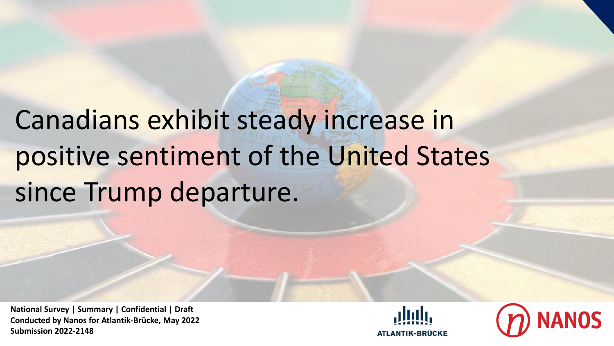# Canadians exhibit steady increase in positive sentiment of the United States since Trump departure.

**National Survey | Summary | Confidential | Draft Conducted by Nanos for Atlantik-Brücke, May 2022 Submission 2022-2148**



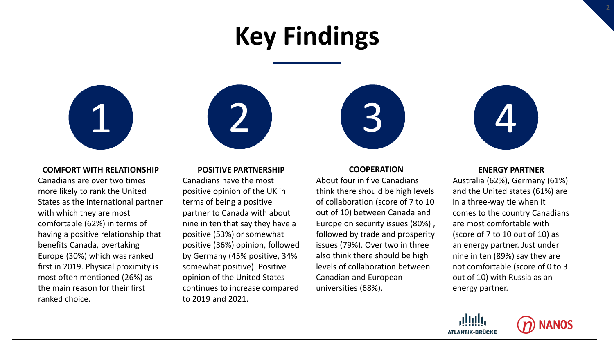# **Key Findings**



### **COMFORT WITH RELATIONSHIP**

Canadians are over two times more likely to rank the United States as the international partner with which they are most comfortable (62%) in terms of having a positive relationship that benefits Canada, overtaking Europe (30%) which was ranked first in 2019. Physical proximity is most often mentioned (26%) as the main reason for their first ranked choice.

### **POSITIVE PARTNERSHIP**

Canadians have the most positive opinion of the UK in terms of being a positive partner to Canada with about nine in ten that say they have a positive (53%) or somewhat positive (36%) opinion, followed by Germany (45% positive, 34% somewhat positive). Positive opinion of the United States continues to increase compared to 2019 and 2021.

# 1 (2) (3) (4

### **COOPERATION**

About four in five Canadians think there should be high levels of collaboration (score of 7 to 10 out of 10) between Canada and Europe on security issues (80%) , followed by trade and prosperity issues (79%). Over two in three also think there should be high levels of collaboration between Canadian and European universities (68%).



### **ENERGY PARTNER**

Australia (62%), Germany (61%) and the United states (61%) are in a three-way tie when it comes to the country Canadians are most comfortable with (score of 7 to 10 out of 10) as an energy partner. Just under nine in ten (89%) say they are not comfortable (score of 0 to 3 out of 10) with Russia as an energy partner.



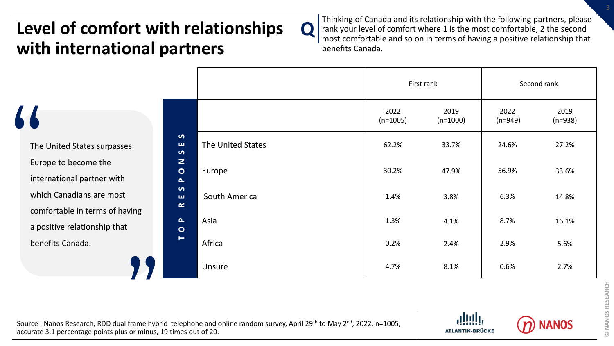# **Level of comfort with relationships with international partners**

Thinking of Canada and its relationship with the following partners, please rank your level of comfort where 1 is the most comfortable, 2 the second most comfortable and so on in terms of having a positive relationship that benefits Canada.

|                                     |                   |                    | First rank         |                   | Second rank       |
|-------------------------------------|-------------------|--------------------|--------------------|-------------------|-------------------|
|                                     |                   | 2022<br>$(n=1005)$ | 2019<br>$(n=1000)$ | 2022<br>$(n=949)$ | 2019<br>$(n=938)$ |
| $\bullet$<br>ш<br>$\bullet$         | The United States | 62.2%              | 33.7%              | 24.6%             | 27.2%             |
| $\mathbf{z}$<br>$\circ$<br>$\Delta$ | Europe            | 30.2%              | 47.9%              | 56.9%             | 33.6%             |
| $\bullet$<br>ш<br>$\simeq$          | South America     | 1.4%               | 3.8%               | 6.3%              | 14.8%             |
| $\mathbf{L}$<br>$\bullet$           | Asia              | 1.3%               | 4.1%               | 8.7%              | 16.1%             |
| $\vdash$                            | Africa            | 0.2%               | 2.4%               | 2.9%              | 5.6%              |
|                                     | Unsure            | 4.7%               | 8.1%               | 0.6%              | 2.7%              |

**Q** 

The<br>The<br>Euro<br>inte The United States surpasses Europe to become the international partner with which Canadians are most comfortable in terms of having a positive relationship that benefits Canada.



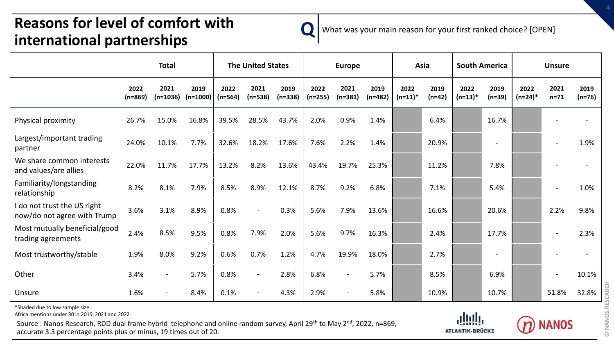### **Q Reasons for level of comfort with international partnerships**



What was your main reason for your first ranked choice? [OPEN]

|                                                            | <b>Total</b>      |                    | <b>The United States</b> |                   |                          | <b>Europe</b>     |                   | Asia              |                   |                    | <b>South America</b> |                    | <b>Unsure</b>    |                    |                |                  |
|------------------------------------------------------------|-------------------|--------------------|--------------------------|-------------------|--------------------------|-------------------|-------------------|-------------------|-------------------|--------------------|----------------------|--------------------|------------------|--------------------|----------------|------------------|
|                                                            | 2022<br>$(n=869)$ | 2021<br>$(n=1036)$ | 2019<br>$(n=1000)$       | 2022<br>$(n=564)$ | 2021<br>$(n=538)$        | 2019<br>$(n=338)$ | 2022<br>$(n=255)$ | 2021<br>$(n=381)$ | 2019<br>$(n=482)$ | 2022<br>$(n=11)^*$ | 2019<br>$(n=42)$     | 2022<br>$(n=13)^*$ | 2019<br>$(n=39)$ | 2022<br>$(n=24)^*$ | 2021<br>$n=71$ | 2019<br>$(n=76)$ |
| Physical proximity                                         | 26.7%             | 15.0%              | 16.8%                    | 39.5%             | 28.5%                    | 43.7%             | 2.0%              | 0.9%              | 1.4%              |                    | 6.4%                 |                    | 16.7%            |                    |                |                  |
| Largest/important trading<br>partner                       | 24.0%             | 10.1%              | 7.7%                     | 32.6%             | 18.2%                    | 17.6%             | 7.6%              | 2.2%              | 1.4%              |                    | 20.9%                |                    |                  |                    |                | 1.9%             |
| We share common interests<br>and values/are allies         | 22.0%             | 11.7%              | 17.7%                    | 13.2%             | 8.2%                     | 13.6%             | 43.4%             | 19.7%             | 25.3%             |                    | 11.2%                |                    | 7.8%             |                    |                |                  |
| Familiarity/longstanding<br>relationship                   | 8.2%              | 8.1%               | 7.9%                     | 8.5%              | 8.9%                     | 12.1%             | 8.7%              | 9.2%              | 6.8%              |                    | 7.1%                 |                    | 5.4%             |                    |                | 1.0%             |
| I do not trust the US right<br>now/do not agree with Trump | 3.6%              | 3.1%               | 8.9%                     | 0.8%              | $\blacksquare$           | 0.3%              | 5.6%              | 7.9%              | 13.6%             |                    | 16.6%                |                    | 20.6%            |                    | 2.2%           | 9.8%             |
| Most mutually beneficial/good<br>trading agreements        | 2.4%              | 8.5%               | 9.5%                     | 0.8%              | 7.9%                     | 2.0%              | 5.6%              | 9.7%              | 16.3%             |                    | 2.4%                 |                    | 17.7%            |                    |                | 2.3%             |
| Most trustworthy/stable                                    | 1.9%              | 8.0%               | 9.2%                     | 0.6%              | 0.7%                     | 1.2%              | 4.7%              | 19.9%             | 18.0%             |                    | 2.7%                 |                    |                  |                    |                |                  |
| Other                                                      | 3.4%              | $\sim$             | 5.7%                     | 0.8%              | $\overline{\phantom{a}}$ | 2.8%              | 6.8%              | $\sim$            | 5.7%              |                    | 8.5%                 |                    | 6.9%             |                    |                | 10.1%            |
| Unsure                                                     | 1.6%              |                    | 8.4%                     | 0.1%              |                          | 4.3%              | 2.9%              | $\sim$            | 5.8%              |                    | 10.9%                |                    | 10.7%            |                    | 51.8%          | 32.8%            |

\*Shaded due to low sample size

Africa mentions under 30 in 2019, 2021 and 2022



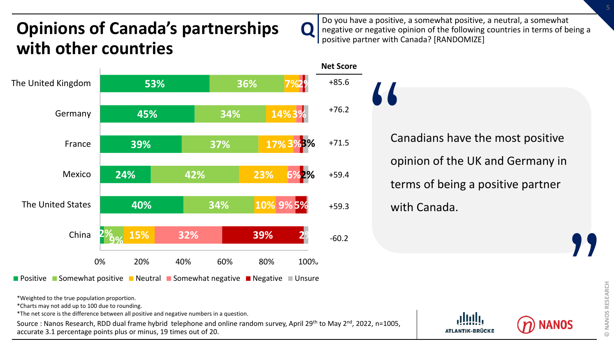# **Opinions of Canada's partnerships with other countries**



**Positive Somewhat positive Neutral I Somewhat negative I Negative I Unsure** 

\*Weighted to the true population proportion.

\*Charts may not add up to 100 due to rounding.

\*The net score is the difference between all positive and negative numbers in a question.

Source : Nanos Research, RDD dual frame hybrid telephone and online random survey, April 29th to May 2<sup>nd</sup>, 2022, n=1005, accurate 3.1 percentage points plus or minus, 19 times out of 20.

Do you have a positive, a somewhat positive, a neutral, a somewhat negative or negative opinion of the following countries in terms of being a positive partner with Canada? [RANDOMIZE]

**Q** 

# Canadians have the most positive opinion of the UK and Germany in terms of being a positive partner with Canada. "



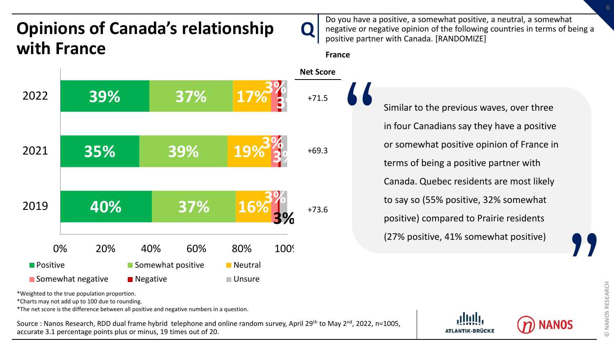# **Opinions of Canada's relationship with France**

**40% 35% 39% 37% 39% 37% 16% 19% 17% 3% 3% 3% 3% 3% 3%** 0% 20% 40% 60% 80% 100% 2019 2021 2022  $\blacksquare$  Positive  $\blacksquare$  Somewhat positive  $\blacksquare$  Neutral ■ Somewhat negative ■ Negative ■ Negative ■ Unsure **France Net Score** +71.5 +69.3 +73.6

Do you have a positive, a somewhat positive, a neutral, a somewhat negative or negative opinion of the following countries in terms of being a positive partner with Canada. [RANDOMIZE]

**Q** 

# Similar to the previous waves, over three in four Canadians say they have a positive or somewhat positive opinion of France in terms of being a positive partner with Canada. Quebec residents are most likely to say so (55% positive, 32% somewhat positive) compared to Prairie residents (27% positive, 41% somewhat positive) "



 $\odot$ 

\*Weighted to the true population proportion.

\*Charts may not add up to 100 due to rounding.

\*The net score is the difference between all positive and negative numbers in a question.

Source : Nanos Research, RDD dual frame hybrid telephone and online random survey, April 29<sup>th</sup> to May 2<sup>nd</sup>, 2022, n=1005, accurate 3.1 percentage points plus or minus, 19 times out of 20.

**ATLANTIK-BRÜCKE** 

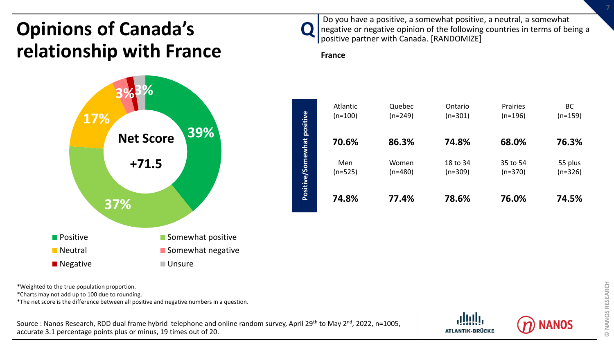# **Opinions of Canada's relationship with France**



Do you have a positive, a somewhat positive, a neutral, a somewhat negative or negative opinion of the following countries in terms of being a positive partner with Canada. [RANDOMIZE]

**France**

 $\mathbf{Q}$ 



\*Weighted to the true population proportion.

\*Charts may not add up to 100 due to rounding.

\*The net score is the difference between all positive and negative numbers in a question.



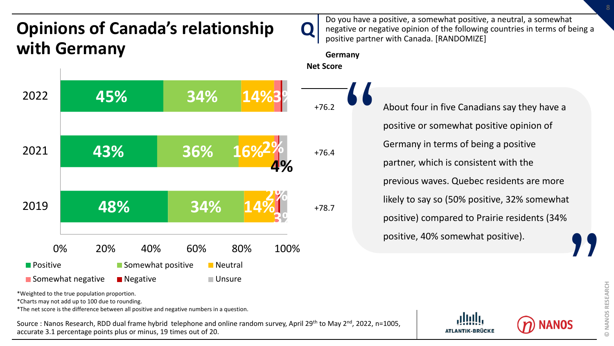### **Q 48% 43% 45% 34% 36% 34% 14% 16% 14% 3% 2% 2% 3% 4%** 0% 20% 40% 60% 80% 100% 2019 2021 2022 **Positive Comewhat positive Construction**  $\blacksquare$  Somewhat negative  $\blacksquare$  Negative  $\blacksquare$  Unsure **Opinions of Canada's relationship with Germany** Do you have a positive, a somewhat positive, a neutral, a somewhat negative or negative opinion of the following countries in terms of being a positive partner with Canada. [RANDOMIZE] **Germany Net Score** +76.2 +76.4 +78.7 About four in five Canadians say they have a positive or somewhat positive opinion of Germany in terms of being a positive partner, which is consistent with the previous waves. Quebec residents are more likely to say so (50% positive, 32% somewhat positive) compared to Prairie residents (34% positive, 40% somewhat positive). "

\*Weighted to the true population proportion.

\*Charts may not add up to 100 due to rounding.

\*The net score is the difference between all positive and negative numbers in a question.

Source : Nanos Research, RDD dual frame hybrid telephone and online random survey, April 29<sup>th</sup> to May 2<sup>nd</sup>, 2022, n=1005, accurate 3.1 percentage points plus or minus, 19 times out of 20.

**ATLANTIK-BRÜCKE** 



**© NANOS RESEARCH** NANOS RESEARCH  $\odot$ 

**"**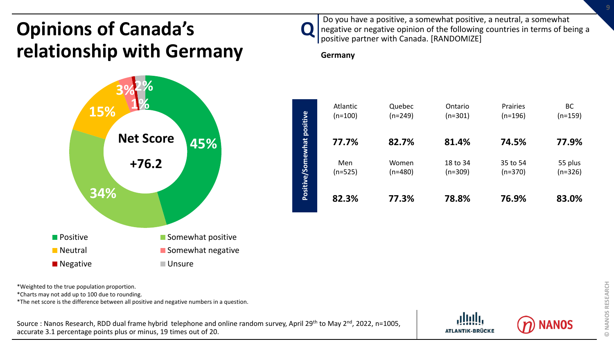# **Opinions of Canada's relationship with Germany**





Do you have a positive, a somewhat positive, a neutral, a somewhat negative or negative opinion of the following countries in terms of being a positive partner with Canada. [RANDOMIZE]

### **Germany**

 $\mathbf{Q}$ 



\*Weighted to the true population proportion.

\*Charts may not add up to 100 due to rounding.

\*The net score is the difference between all positive and negative numbers in a question.



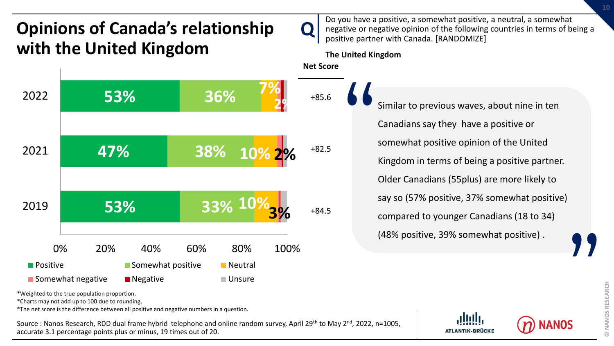# **Opinions of Canada's relationship with the United Kingdom**



Do you have a positive, a somewhat positive, a neutral, a somewhat negative or negative opinion of the following countries in terms of being a positive partner with Canada. [RANDOMIZE]

**The United Kingdom**

 $\mathbf{Q}$ 

**Net Score**

+85.6 +82.5 Similar to previous waves, about nine in ten Canadians say they have a positive or somewhat positive opinion of the United Kingdom in terms of being a positive partner. Older Canadians (55plus) are more likely to say so (57% positive, 37% somewhat positive) "

> compared to younger Canadians (18 to 34) (48% positive, 39% somewhat positive) .

**"** 

\*Weighted to the true population proportion.

\*Charts may not add up to 100 due to rounding.

\*The net score is the difference between all positive and negative numbers in a question.

Source : Nanos Research, RDD dual frame hybrid telephone and online random survey, April 29<sup>th</sup> to May 2<sup>nd</sup>, 2022, n=1005, accurate 3.1 percentage points plus or minus, 19 times out of 20.

**ATLANTIK-BRÜCKE** 



**10**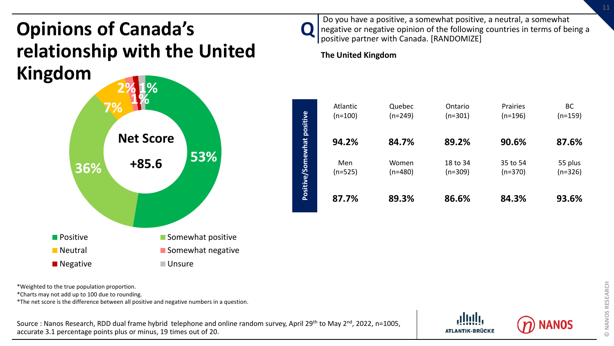# **Opinions of Canada's relationship with the United Kingdom**



Do you have a positive, a somewhat positive, a neutral, a somewhat negative or negative opinion of the following countries in terms of being a positive partner with Canada. [RANDOMIZE]

**The United Kingdom**

 $\mathbf{Q}$ 



\*Weighted to the true population proportion.

\*Charts may not add up to 100 due to rounding.

\*The net score is the difference between all positive and negative numbers in a question.

Source : Nanos Research, RDD dual frame hybrid telephone and online random survey, April 29<sup>th</sup> to May 2<sup>nd</sup>, 2022, n=1005, accurate 3.1 percentage points plus or minus, 19 times out of 20.

VANOS

**© NANOS RESEARCH**

**© NANOS RESEARCH** 

**ATLANTIK-BRÜCKE**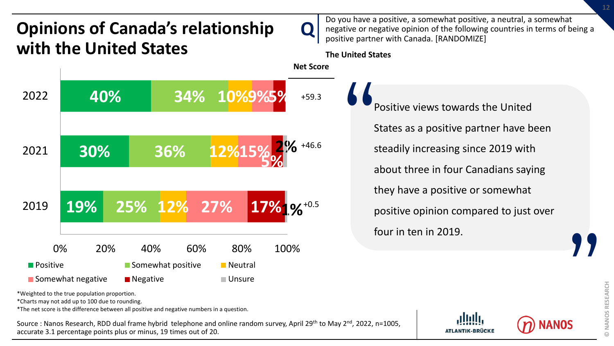# **Opinions of Canada's relationship with the United States**



**The United States**

**Q** 



Positive views towards the United States as a positive partner have been steadily increasing since 2019 with about three in four Canadians saying they have a positive or somewhat positive opinion compared to just over four in ten in 2019. "

\*Weighted to the true population proportion.

\*Charts may not add up to 100 due to rounding.

\*The net score is the difference between all positive and negative numbers in a question.

Source : Nanos Research, RDD dual frame hybrid telephone and online random survey, April 29<sup>th</sup> to May 2<sup>nd</sup>, 2022, n=1005, accurate 3.1 percentage points plus or minus, 19 times out of 20.



**"**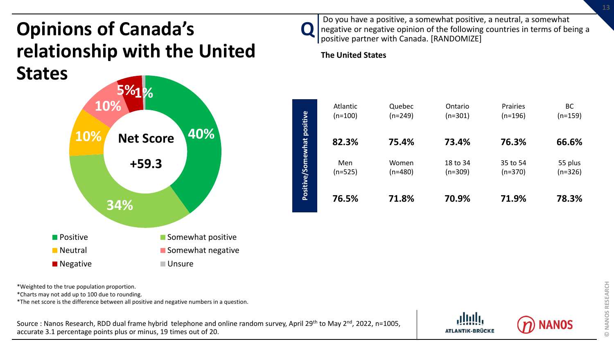# **Opinions of Canada's relationship with the United States**



Do you have a positive, a somewhat positive, a neutral, a somewhat negative or negative opinion of the following countries in terms of being a positive partner with Canada. [RANDOMIZE]

**The United States**

 $\mathbf{Q}$ 



\*Weighted to the true population proportion.

\*Charts may not add up to 100 due to rounding.

\*The net score is the difference between all positive and negative numbers in a question.



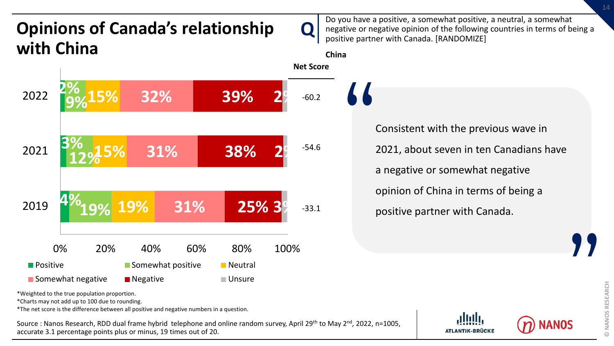

\*Weighted to the true population proportion.

\*Charts may not add up to 100 due to rounding.

\*The net score is the difference between all positive and negative numbers in a question.

Source : Nanos Research, RDD dual frame hybrid telephone and online random survey, April 29<sup>th</sup> to May 2<sup>nd</sup>, 2022, n=1005, accurate 3.1 percentage points plus or minus, 19 times out of 20.

**ATLANTIK-BRÜCKE** 

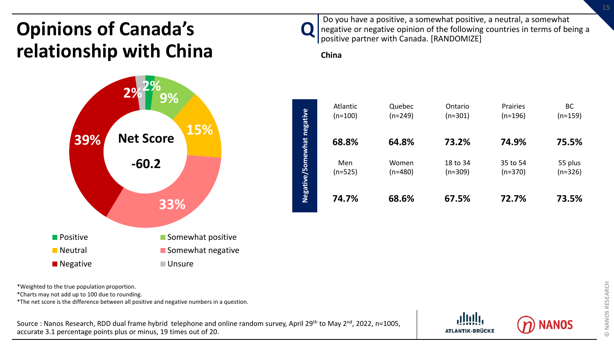# **Opinions of Canada's relationship with China**



Do you have a positive, a somewhat positive, a neutral, a somewhat negative or negative opinion of the following countries in terms of being a positive partner with Canada. [RANDOMIZE]

### **China**

 $\mathbf{Q}$ 



\*Weighted to the true population proportion.

\*Charts may not add up to 100 due to rounding.

\*The net score is the difference between all positive and negative numbers in a question.



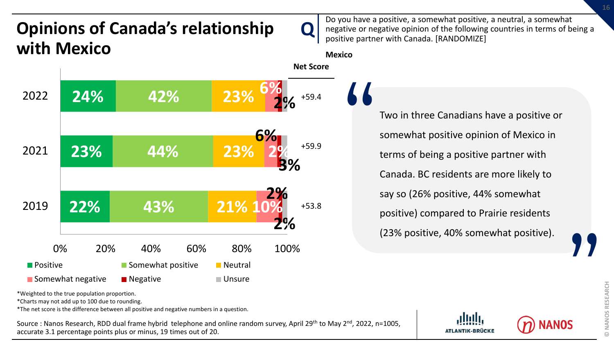### **Q Opinions of Canada's relationship with Mexico**



Do you have a positive, a somewhat positive, a neutral, a somewhat negative or negative opinion of the following countries in terms of being a positive partner with Canada. [RANDOMIZE]

**Mexico**

Two in three Canadians have a positive or somewhat positive opinion of Mexico in terms of being a positive partner with Canada. BC residents are more likely to say so (26% positive, 44% somewhat positive) compared to Prairie residents (23% positive, 40% somewhat positive). "

**ATLANTIK-BRÜCKE** 

**"** 

\*Weighted to the true population proportion.

\*Charts may not add up to 100 due to rounding.

\*The net score is the difference between all positive and negative numbers in a question.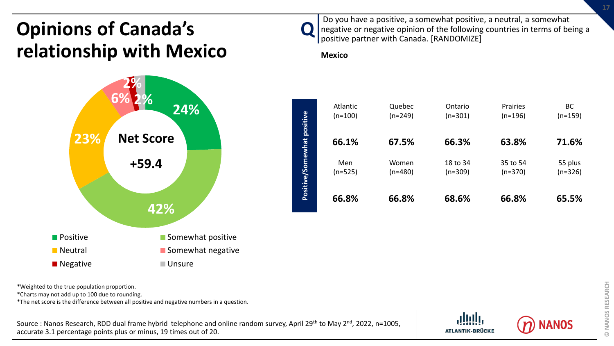# **Opinions of Canada's relationship with Mexico**



Do you have a positive, a somewhat positive, a neutral, a somewhat negative or negative opinion of the following countries in terms of being a positive partner with Canada. [RANDOMIZE]

### **Mexico**

 $\mathbf{Q}$ 



\*Weighted to the true population proportion.

\*Charts may not add up to 100 due to rounding.

\*The net score is the difference between all positive and negative numbers in a question.



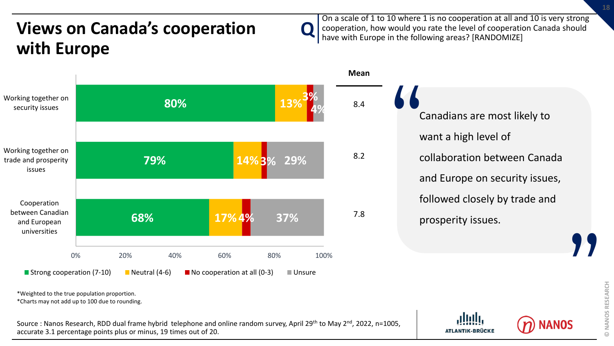# **Views on Canada's cooperation Q with Europe**



\*Weighted to the true population proportion.

\*Charts may not add up to 100 due to rounding.

Source : Nanos Research, RDD dual frame hybrid telephone and online random survey, April 29<sup>th</sup> to May 2<sup>nd</sup>, 2022, n=1005, accurate 3.1 percentage points plus or minus, 19 times out of 20.

On a scale of 1 to 10 where 1 is no cooperation at all and 10 is very strong cooperation, how would you rate the level of cooperation Canada should have with Europe in the following areas? [RANDOMIZE]

> Canadians are most likely to want a high level of collaboration between Canada and Europe on security issues, followed closely by trade and prosperity issues.  $\frac{1}{2}$ **"**

> > **ATLANTIK-BRÜCKE**

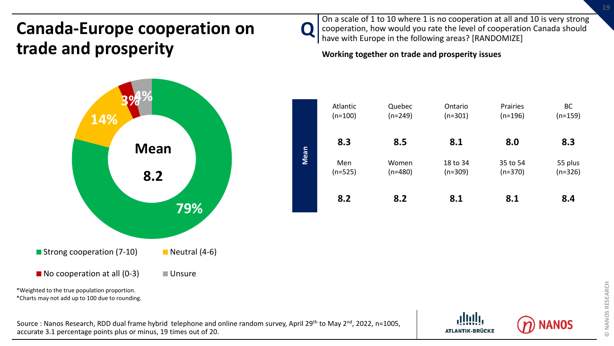# **Canada-Europe cooperation on trade and prosperity**



On a scale of 1 to 10 where 1 is no cooperation at all and 10 is very strong cooperation, how would you rate the level of cooperation Canada should have with Europe in the following areas? [RANDOMIZE]

**Working together on trade and prosperity issues**





\*Charts may not add up to 100 due to rounding.

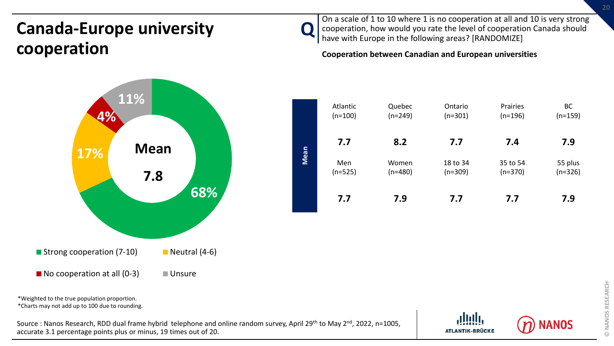# **Canada-Europe university cooperation**



 $\mathbf{Q}$ On a scale of 1 to 10 where 1 is no cooperation at all and 10 is very strong cooperation, how would you rate the level of cooperation Canada should have with Europe in the following areas? [RANDOMIZE]

**Cooperation between Canadian and European universities**

|      | Atlantic  | Quebec    | Ontario   | Prairies  | <b>BC</b> |
|------|-----------|-----------|-----------|-----------|-----------|
|      | $(n=100)$ | $(n=249)$ | $(n=301)$ | $(n=196)$ | $(n=159)$ |
|      | 7.7       | 8.2       | 7.7       | 7.4       | 7.9       |
| Mean | Men       | Women     | 18 to 34  | 35 to 54  | 55 plus   |
|      | $(n=525)$ | $(n=480)$ | $(n=309)$ | $(n=370)$ | $(n=326)$ |
|      | 7.7       | 7.9       | 7.7       | 7.7       | 7.9       |

\*Weighted to the true population proportion. \*Charts may not add up to 100 due to rounding.

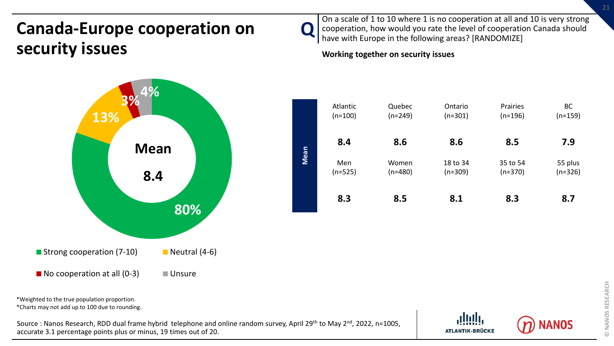# **Canada-Europe cooperation on security issues**



\*Weighted to the true population proportion.

\*Charts may not add up to 100 due to rounding.

Source : Nanos Research, RDD dual frame hybrid telephone and online random survey, April 29<sup>th</sup> to May 2<sup>nd</sup>, 2022, n=1005, accurate 3.1 percentage points plus or minus, 19 times out of 20.



On a scale of 1 to 10 where 1 is no cooperation at all and 10 is very strong cooperation, how would you rate the level of cooperation Canada should have with Europe in the following areas? [RANDOMIZE]

### **Working together on security issues**



**ATLANTIK-BRÜCKE** 

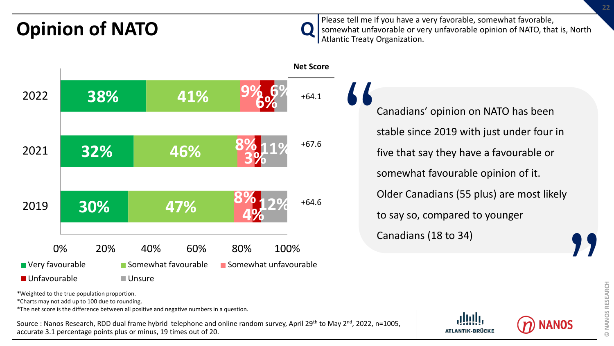$\mathbf{Q}$ **Opinion of NATO** Please tell me if you have a very favorable, somewhat favorable, somewhat favorable, and the somewhat unfavorable or very unfavorable opinion of NATO somewhat unfavorable or very unfavorable opinion of NATO, that is, North Atlantic Treaty Organization.



\*Weighted to the true population proportion.

\*Charts may not add up to 100 due to rounding.

\*The net score is the difference between all positive and negative numbers in a question.

Source : Nanos Research, RDD dual frame hybrid telephone and online random survey, April 29<sup>th</sup> to May 2<sup>nd</sup>, 2022, n=1005, accurate 3.1 percentage points plus or minus, 19 times out of 20.

Canadians' opinion on NATO has been stable since 2019 with just under four in five that say they have a favourable or somewhat favourable opinion of it. Older Canadians (55 plus) are most likely to say so, compared to younger Canadians (18 to 34) " **"** 

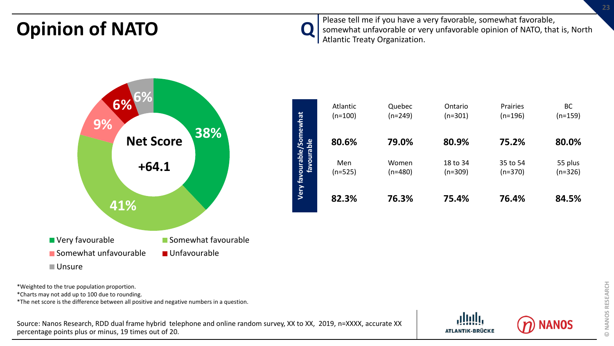**Opinion of NATO Q** Please tell me if you have a very favorable, somewhat favorable, **Opinion** of NATO somewhat unfavorable or very unfavorable opinion of NATO, that is, North Atlantic Treaty Organization.



\*Weighted to the true population proportion.

\*Charts may not add up to 100 due to rounding.

\*The net score is the difference between all positive and negative numbers in a question.

Source: Nanos Research, RDD dual frame hybrid telephone and online random survey, XX to XX, 2019, n=XXXX, accurate XX percentage points plus or minus, 19 times out of 20.



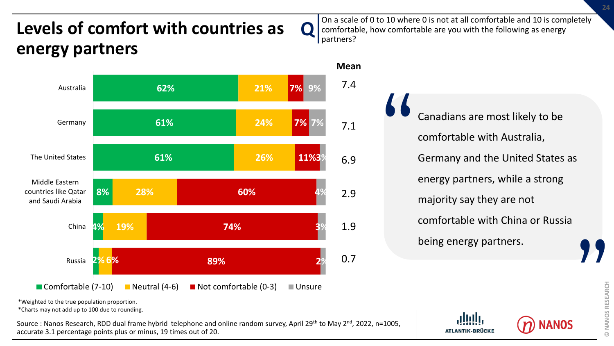# **Levels of comfort with countries as Q energy partners**



On a scale of 0 to 10 where 0 is not at all comfortable and 10 is completely comfortable, how comfortable are you with the following as energy partners?

> Canadians are most likely to be comfortable with Australia, Germany and the United States as energy partners, while a strong majority say they are not comfortable with China or Russia being energy partners. "

\*Weighted to the true population proportion.

\*Charts may not add up to 100 due to rounding.

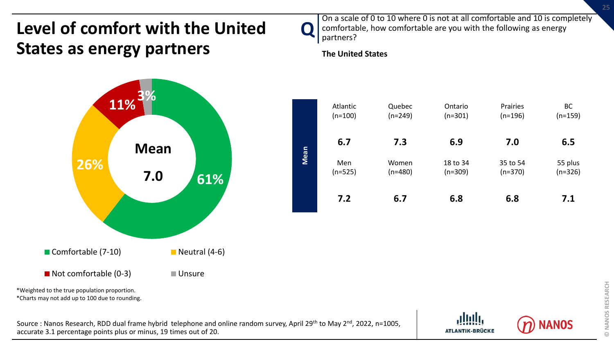# **Level of comfort with the United States as energy partners**



\*Charts may not add up to 100 due to rounding.

Source : Nanos Research, RDD dual frame hybrid telephone and online random survey, April 29<sup>th</sup> to May 2<sup>nd</sup>, 2022, n=1005, accurate 3.1 percentage points plus or minus, 19 times out of 20.



**The United States**

**Q** 



**ATLANTIK-BRÜCKE** 

VANOS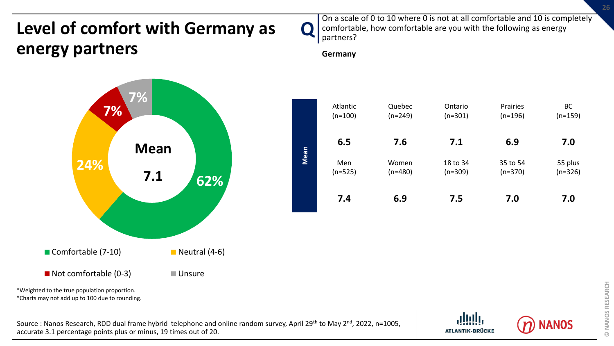# **Level of comfort with Germany as energy partners**



On a scale of 0 to 10 where 0 is not at all comfortable and 10 is completely comfortable, how comfortable are you with the following as energy partners?

**Germany**



\*Weighted to the true population proportion.

\*Charts may not add up to 100 due to rounding.

Source : Nanos Research, RDD dual frame hybrid telephone and online random survey, April 29<sup>th</sup> to May 2<sup>nd</sup>, 2022, n=1005, accurate 3.1 percentage points plus or minus, 19 times out of 20.





BC (n=159)

55 plus (n=326)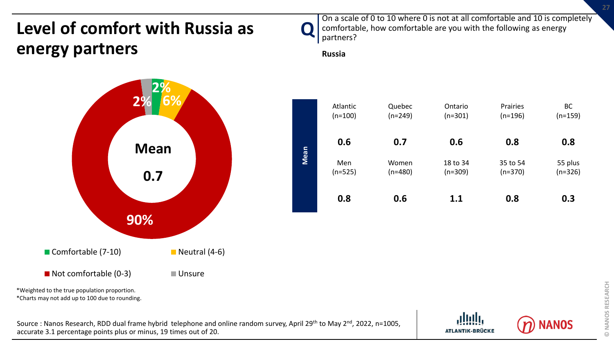# **Level of comfort with Russia as energy partners**



On a scale of 0 to 10 where 0 is not at all comfortable and 10 is completely comfortable, how comfortable are you with the following as energy partners?

**Russia**





\*Charts may not add up to 100 due to rounding.



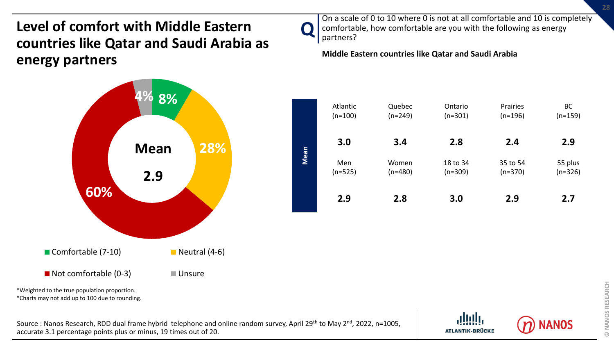**Level of comfort with Middle Eastern countries like Qatar and Saudi Arabia as energy partners**



\*Charts may not add up to 100 due to rounding.

Source : Nanos Research, RDD dual frame hybrid telephone and online random survey, April 29<sup>th</sup> to May 2<sup>nd</sup>, 2022, n=1005, accurate 3.1 percentage points plus or minus, 19 times out of 20.



**Middle Eastern countries like Qatar and Saudi Arabia**

 $\blacksquare$ 



**ATLANTIK-BRÜCKE**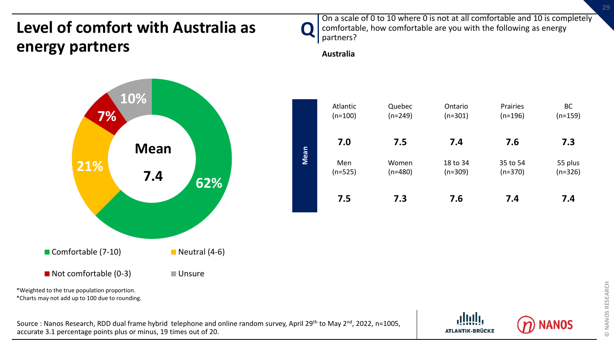## **Level of comfort with Australia as energy partners**



On a scale of 0 to 10 where 0 is not at all comfortable and 10 is completely comfortable, how comfortable are you with the following as energy partners?

**Australia**



\*Weighted to the true population proportion.

\*Charts may not add up to 100 due to rounding.

Source : Nanos Research, RDD dual frame hybrid telephone and online random survey, April 29<sup>th</sup> to May 2<sup>nd</sup>, 2022, n=1005, accurate 3.1 percentage points plus or minus, 19 times out of 20.





BC (n=159)

55 plus (n=326)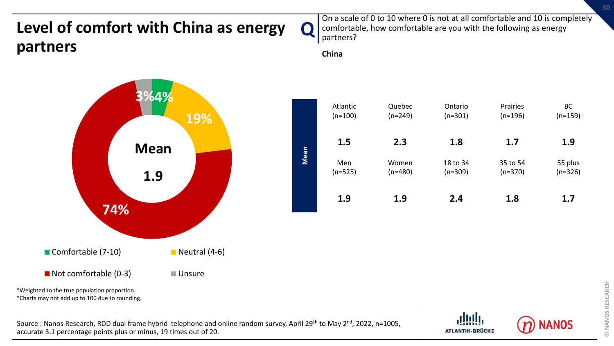### **Level of comfort with China as energy partners**



On a scale of 0 to 10 where 0 is not at all comfortable and 10 is completely comfortable, how comfortable are you with the following as energy partners?

**ATLANTIK-BRÜCKE** 

**China**



\*Charts may not add up to 100 due to rounding.

Source : Nanos Research, RDD dual frame hybrid telephone and online random survey, April 29<sup>th</sup> to May 2<sup>nd</sup>, 2022, n=1005, accurate 3.1 percentage points plus or minus, 19 times out of 20.

BC (n=159)

55 plus (n=326)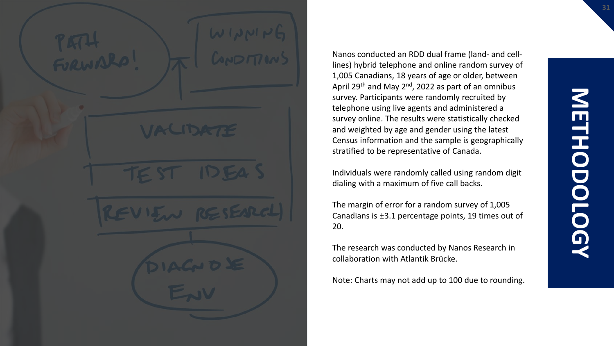Nanos conducted an RDD dual frame (land- and celllines) hybrid telephone and online random survey of 1,005 Canadians, 18 years of age or older, between April 29<sup>th</sup> and May 2<sup>nd</sup>, 2022 as part of an omnibus survey. Participants were randomly recruited by telephone using live agents and administered a survey online. The results were statistically checked and weighted by age and gender using the latest Census information and the sample is geographically stratified to be representative of Canada.

Individuals were randomly called using random digit dialing with a maximum of five call backs.

The margin of error for a random survey of 1,005 Canadians is ±3.1 percentage points, 19 times out of 20.

The research was conducted by Nanos Research in collaboration with Atlantik Brücke.

Note: Charts may not add up to 100 due to rounding.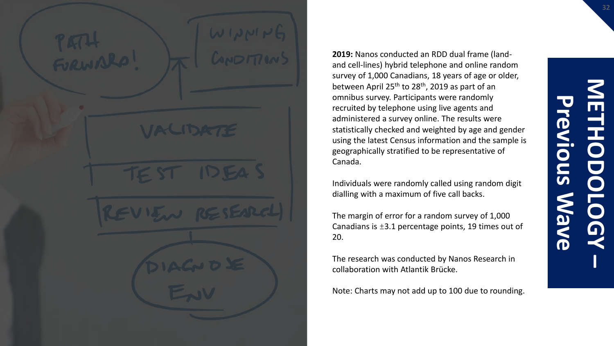**2019:** Nanos conducted an RDD dual frame (landand cell-lines) hybrid telephone and online random survey of 1,000 Canadians, 18 years of age or older, between April 25<sup>th</sup> to 28<sup>th</sup>, 2019 as part of an omnibus survey. Participants were randomly recruited by telephone using live agents and administered a survey online. The results were statistically checked and weighted by age and gender using the latest Census information and the sample is geographically stratified to be representative of Canada.

Individuals were randomly called using random digit dialling with a maximum of five call backs.

The margin of error for a random survey of 1,000 Canadians is  $\pm 3.1$  percentage points, 19 times out of 20.

The research was conducted by Nanos Research in collaboration with Atlantik Brücke.

Note: Charts may not add up to 100 due to rounding.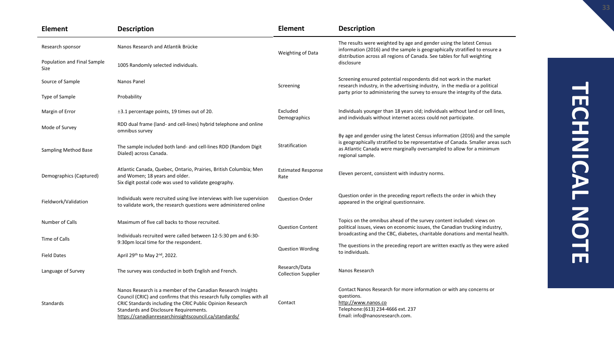| <b>Element</b>                             | <b>Description</b>                                                                                                                                                                                                                                                                                     | <b>Element</b>                              | <b>Description</b>                                                                                                                                                                                                                                          |  |  |  |  |  |  |
|--------------------------------------------|--------------------------------------------------------------------------------------------------------------------------------------------------------------------------------------------------------------------------------------------------------------------------------------------------------|---------------------------------------------|-------------------------------------------------------------------------------------------------------------------------------------------------------------------------------------------------------------------------------------------------------------|--|--|--|--|--|--|
| Research sponsor                           | Nanos Research and Atlantik Brücke                                                                                                                                                                                                                                                                     | Weighting of Data                           | The results were weighted by age and gender using the latest Census<br>information (2016) and the sample is geographically stratified to ensure a                                                                                                           |  |  |  |  |  |  |
| Population and Final Sample<br><b>Size</b> | 1005 Randomly selected individuals.                                                                                                                                                                                                                                                                    |                                             | distribution across all regions of Canada. See tables for full weighting<br>disclosure                                                                                                                                                                      |  |  |  |  |  |  |
| Source of Sample                           | Nanos Panel                                                                                                                                                                                                                                                                                            | Screening                                   | Screening ensured potential respondents did not work in the market<br>research industry, in the advertising industry, in the media or a political                                                                                                           |  |  |  |  |  |  |
| Type of Sample                             | Probability                                                                                                                                                                                                                                                                                            |                                             | party prior to administering the survey to ensure the integrity of the data.                                                                                                                                                                                |  |  |  |  |  |  |
| Margin of Error                            | ±3.1 percentage points, 19 times out of 20.                                                                                                                                                                                                                                                            | Excluded<br>Demographics                    | Individuals younger than 18 years old; individuals without land or cell lines,<br>and individuals without internet access could not participate.                                                                                                            |  |  |  |  |  |  |
| Mode of Survey                             | RDD dual frame (land- and cell-lines) hybrid telephone and online<br>omnibus survey                                                                                                                                                                                                                    |                                             |                                                                                                                                                                                                                                                             |  |  |  |  |  |  |
| Sampling Method Base                       | The sample included both land- and cell-lines RDD (Random Digit<br>Dialed) across Canada.                                                                                                                                                                                                              | Stratification                              | By age and gender using the latest Census information (2016) and the sample<br>is geographically stratified to be representative of Canada. Smaller areas such<br>as Atlantic Canada were marginally oversampled to allow for a minimum<br>regional sample. |  |  |  |  |  |  |
| Demographics (Captured)                    | Atlantic Canada, Quebec, Ontario, Prairies, British Columbia; Men<br>and Women; 18 years and older.<br>Six digit postal code was used to validate geography.                                                                                                                                           | <b>Estimated Response</b><br>Rate           | Eleven percent, consistent with industry norms.                                                                                                                                                                                                             |  |  |  |  |  |  |
| Fieldwork/Validation                       | Individuals were recruited using live interviews with live supervision<br>to validate work, the research questions were administered online                                                                                                                                                            | <b>Question Order</b>                       | Question order in the preceding report reflects the order in which they<br>appeared in the original questionnaire.                                                                                                                                          |  |  |  |  |  |  |
| Number of Calls                            | Maximum of five call backs to those recruited.                                                                                                                                                                                                                                                         | <b>Question Content</b>                     | Topics on the omnibus ahead of the survey content included: views on<br>political issues, views on economic issues, the Canadian trucking industry,                                                                                                         |  |  |  |  |  |  |
| Time of Calls                              | Individuals recruited were called between 12-5:30 pm and 6:30-<br>9:30pm local time for the respondent.                                                                                                                                                                                                |                                             | broadcasting and the CBC, diabetes, charitable donations and mental health.                                                                                                                                                                                 |  |  |  |  |  |  |
| <b>Field Dates</b>                         | April 29th to May 2nd, 2022.                                                                                                                                                                                                                                                                           | <b>Question Wording</b>                     | The questions in the preceding report are written exactly as they were asked<br>to individuals.                                                                                                                                                             |  |  |  |  |  |  |
| Language of Survey                         | The survey was conducted in both English and French.                                                                                                                                                                                                                                                   | Research/Data<br><b>Collection Supplier</b> | Nanos Research                                                                                                                                                                                                                                              |  |  |  |  |  |  |
| Standards                                  | Nanos Research is a member of the Canadian Research Insights<br>Council (CRIC) and confirms that this research fully complies with all<br>CRIC Standards including the CRIC Public Opinion Research<br>Standards and Disclosure Requirements.<br>https://canadianresearchinsightscouncil.ca/standards/ | Contact                                     | Contact Nanos Research for more information or with any concerns or<br>questions.<br>http://www.nanos.co<br>Telephone: (613) 234-4666 ext. 237<br>Email: info@nanosresearch.com.                                                                            |  |  |  |  |  |  |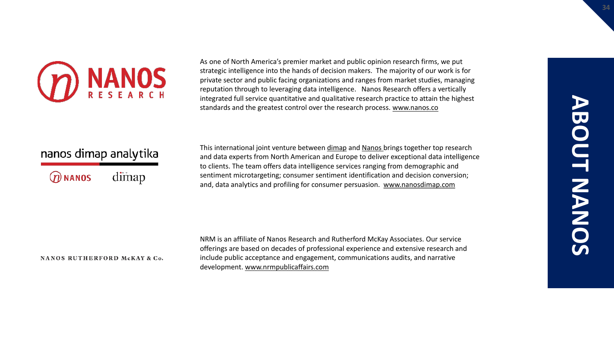

As one of North America's premier market and public opinion research firms, we put strategic intelligence into the hands of decision makers. The majority of our work is for private sector and public facing organizations and ranges from market studies, managing reputation through to leveraging data intelligence. Nanos Research offers a vertically integrated full service quantitative and qualitative research practice to attain the highest standards and the greatest control over the research process. [www.nanos.co](http://www.nanos.co/)

### nanos dimap analytika

dimap  $@$  NANOS

This international joint venture between [dimap](http://dimap.de/en/HOMEen) and [Nanos](http://nanos.co/) brings together top research and data experts from North American and Europe to deliver exceptional data intelligence to clients. The team offers data intelligence services ranging from demographic and sentiment microtargeting; consumer sentiment identification and decision conversion; and, data analytics and profiling for consumer persuasion. [www.nanosdimap.com](http://www.nanosdimap.com/)

### NANOS RUTHERFORD McKAY & Co.

NRM is an affiliate of Nanos Research and Rutherford McKay Associates. Our service offerings are based on decades of professional experience and extensive research and include public acceptance and engagement, communications audits, and narrative development. [www.nrmpublicaffairs.com](http://nrmpublicaffairs.com/index.html)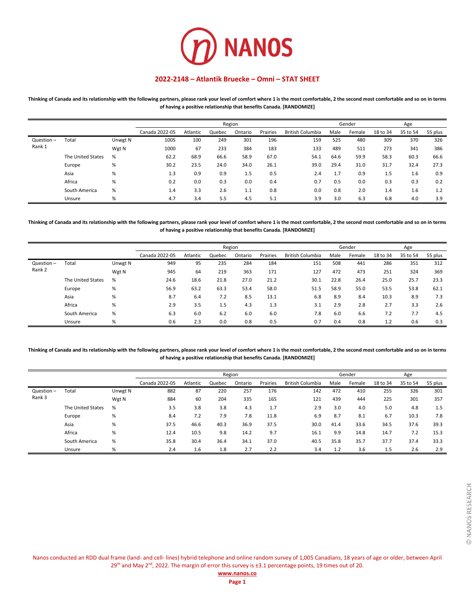

**Thinking of Canada and its relationship with the following partners, please rank your level of comfort where 1 is the most comfortable, 2 the second most comfortable and so on in terms of having a positive relationship that benefits Canada. [RANDOMIZE]**

|           |                   |         |                |          |        | Region  |          |                         |      | Gender |          | Age      |         |
|-----------|-------------------|---------|----------------|----------|--------|---------|----------|-------------------------|------|--------|----------|----------|---------|
|           |                   |         | Canada 2022-05 | Atlantic | Quebec | Ontario | Prairies | <b>British Columbia</b> | Male | Female | 18 to 34 | 35 to 54 | 55 plus |
| Question- | Total             | Unwgt N | 1005           | 100      | 249    | 301     | 196      | 159                     | 525  | 480    | 309      | 370      | 326     |
| Rank 1    |                   | Wgt N   | 1000           | 67       | 233    | 384     | 183      | 133                     | 489  | 511    | 273      | 341      | 386     |
|           | The United States | %       | 62.2           | 68.9     | 66.6   | 58.9    | 67.0     | 54.1                    | 64.6 | 59.9   | 58.3     | 60.3     | 66.6    |
|           | Europe            | %       | 30.2           | 23.5     | 24.0   | 34.0    | 26.1     | 39.0                    | 29.4 | 31.0   | 31.7     | 32.4     | 27.3    |
|           | Asia              | %       | 1.3            | 0.9      | 0.9    | 1.5     | 0.5      | 2.4                     | 1.7  | 0.9    | 1.5      | 1.6      | 0.9     |
|           | Africa            | %       | 0.2            | 0.0      | 0.3    | 0.0     | 0.4      | 0.7                     | 0.5  | 0.0    | 0.3      | 0.3      | 0.2     |
|           | South America     | %       | 1.4            | 3.3      | 2.6    | 1.1     | 0.8      | 0.0                     | 0.8  | 2.0    | 1.4      | 1.6      | 1.2     |
|           | Unsure            | %       | 4.7            | 3.4      | 5.5    | 4.5     | 5.1      | 3.9                     | 3.0  | 6.3    | 6.8      | 4.0      | 3.9     |

**Thinking of Canada and its relationship with the following partners, please rank your level of comfort where 1 is the most comfortable, 2 the second most comfortable and so on in terms of having a positive relationship that benefits Canada. [RANDOMIZE]**

|              |                   |         |                |          |        | Region  |          |                         | Gender |        |          |          |         |
|--------------|-------------------|---------|----------------|----------|--------|---------|----------|-------------------------|--------|--------|----------|----------|---------|
|              |                   |         | Canada 2022-05 | Atlantic | Quebec | Ontario | Prairies | <b>British Columbia</b> | Male   | Female | 18 to 34 | 35 to 54 | 55 plus |
| $Question -$ | Total             | Unwgt N | 949            | 95       | 235    | 284     | 184      | 151                     | 508    | 441    | 286      | 351      | 312     |
| Rank 2       |                   | Wgt N   | 945            | 64       | 219    | 363     | 171      | 127                     | 472    | 473    | 251      | 324      | 369     |
|              | The United States | %       | 24.6           | 18.6     | 21.8   | 27.0    | 21.2     | 30.1                    | 22.8   | 26.4   | 25.0     | 25.7     | 23.3    |
|              | Europe            | %       | 56.9           | 63.2     | 63.3   | 53.4    | 58.0     | 51.5                    | 58.9   | 55.0   | 53.5     | 53.8     | 62.1    |
|              | Asia              | %       | 8.7            | 6.4      | 7.2    | 8.5     | 13.1     | 6.8                     | 8.9    | 8.4    | 10.3     | 8.9      | 7.3     |
|              | Africa            | %       | 2.9            | 3.5      | 1.5    | 4.3     | 1.3      | 3.1                     | 2.9    | 2.8    | 2.7      | 3.3      | 2.6     |
|              | South America     | %       | 6.3            | 6.0      | 6.2    | 6.0     | 6.0      | 7.8                     | 6.0    | 6.6    | 7.2      | 7.7      | 4.5     |
|              | Unsure            | %       | 0.6            | 2.3      | 0.0    | 0.8     | 0.5      | 0.7                     | 0.4    | 0.8    | 1.2      | 0.6      | 0.3     |

**Thinking of Canada and its relationship with the following partners, please rank your level of comfort where 1 is the most comfortable, 2 the second most comfortable and so on in terms of having a positive relationship that benefits Canada. [RANDOMIZE]**

|              |                   |         |                |          |        | Region  |          |                         | Gender |        |          |          |         |
|--------------|-------------------|---------|----------------|----------|--------|---------|----------|-------------------------|--------|--------|----------|----------|---------|
|              |                   |         | Canada 2022-05 | Atlantic | Quebec | Ontario | Prairies | <b>British Columbia</b> | Male   | Female | 18 to 34 | 35 to 54 | 55 plus |
| $Question -$ | Total             | Unwgt N | 882            | 87       | 220    | 257     | 176      | 142                     | 472    | 410    | 255      | 326      | 301     |
| Rank 3       |                   | Wgt N   | 884            | 60       | 204    | 335     | 165      | 121                     | 439    | 444    | 225      | 301      | 357     |
|              | The United States | %       | 3.5            | 3.8      | 3.8    | 4.3     | 1.7      | 2.9                     | 3.0    | 4.0    | 5.0      | 4.8      | 1.5     |
|              | Europe            | %       | 8.4            | 7.2      | 7.9    | 7.8     | 11.8     | 6.9                     | 8.7    | 8.1    | 6.7      | 10.3     | 7.8     |
|              | Asia              | %       | 37.5           | 46.6     | 40.3   | 36.9    | 37.5     | 30.0                    | 41.4   | 33.6   | 34.5     | 37.6     | 39.3    |
|              | Africa            | %       | 12.4           | 10.5     | 9.8    | 14.2    | 9.7      | 16.1                    | 9.9    | 14.8   | 14.7     | 7.2      | 15.3    |
|              | South America     | %       | 35.8           | 30.4     | 36.4   | 34.1    | 37.0     | 40.5                    | 35.8   | 35.7   | 37.7     | 37.4     | 33.3    |
|              | Unsure            | %       | 2.4            | 1.6      | 1.8    | 2.7     | 2.2      | 3.4                     | 1.2    | 3.6    | 1.5      | 2.6      | 2.9     |

|  | www.nanos.co |  |  |
|--|--------------|--|--|
|  |              |  |  |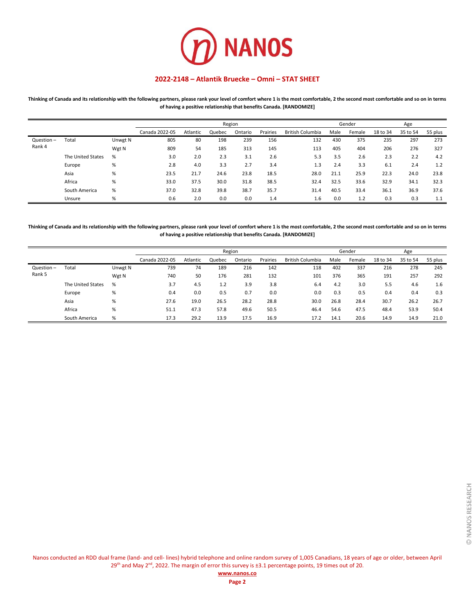

**Thinking of Canada and its relationship with the following partners, please rank your level of comfort where 1 is the most comfortable, 2 the second most comfortable and so on in terms of having a positive relationship that benefits Canada. [RANDOMIZE]**

|           |                   |         |                |          |        | Region  |          |                         |      | Gender |          | Age      |         |
|-----------|-------------------|---------|----------------|----------|--------|---------|----------|-------------------------|------|--------|----------|----------|---------|
|           |                   |         | Canada 2022-05 | Atlantic | Quebec | Ontario | Prairies | <b>British Columbia</b> | Male | Female | 18 to 34 | 35 to 54 | 55 plus |
| Question- | Total             | Unwgt N | 805            | 80       | 198    | 239     | 156      | 132                     | 430  | 375    | 235      | 297      | 273     |
| Rank 4    |                   | Wgt N   | 809            | 54       | 185    | 313     | 145      | 113                     | 405  | 404    | 206      | 276      | 327     |
|           | The United States | %       | 3.0            | 2.0      | 2.3    | 3.1     | 2.6      | 5.3                     | 3.5  | 2.6    | 2.3      | 2.2      | 4.2     |
|           | Europe            | %       | 2.8            | 4.0      | 3.3    | 2.7     | 3.4      | 1.3                     | 2.4  | 3.3    | 6.1      | 2.4      | 1.2     |
|           | Asia              | %       | 23.5           | 21.7     | 24.6   | 23.8    | 18.5     | 28.0                    | 21.1 | 25.9   | 22.3     | 24.0     | 23.8    |
|           | Africa            | %       | 33.0           | 37.5     | 30.0   | 31.8    | 38.5     | 32.4                    | 32.5 | 33.6   | 32.9     | 34.1     | 32.3    |
|           | South America     | %       | 37.0           | 32.8     | 39.8   | 38.7    | 35.7     | 31.4                    | 40.5 | 33.4   | 36.1     | 36.9     | 37.6    |
|           | Unsure            | %       | 0.6            | 2.0      | 0.0    | 0.0     | 1.4      | 1.6                     | 0.0  | 1.2    | 0.3      | 0.3      | 1.1     |

**Thinking of Canada and its relationship with the following partners, please rank your level of comfort where 1 is the most comfortable, 2 the second most comfortable and so on in terms of having a positive relationship that benefits Canada. [RANDOMIZE]**

|              |                   |         |                |          |        | Region  |          |                         |      | Gender |          | Age      |         |
|--------------|-------------------|---------|----------------|----------|--------|---------|----------|-------------------------|------|--------|----------|----------|---------|
|              |                   |         | Canada 2022-05 | Atlantic | Quebec | Ontario | Prairies | <b>British Columbia</b> | Male | Female | 18 to 34 | 35 to 54 | 55 plus |
| $Question -$ | Total             | Unwgt N | 739            | 74       | 189    | 216     | 142      | 118                     | 402  | 337    | 216      | 278      | 245     |
| Rank 5       |                   | Wgt N   | 740            | 50       | 176    | 281     | 132      | 101                     | 376  | 365    | 191      | 257      | 292     |
|              | The United States | %       | 3.7            | 4.5      | 1.2    | 3.9     | 3.8      | 6.4                     | 4.2  | 3.0    | 5.5      | 4.6      | 1.6     |
|              | Europe            | %       | 0.4            | 0.0      | 0.5    | 0.7     | 0.0      | 0.0                     | 0.3  | 0.5    | 0.4      | 0.4      | 0.3     |
|              | Asia              | %       | 27.6           | 19.0     | 26.5   | 28.2    | 28.8     | 30.0                    | 26.8 | 28.4   | 30.7     | 26.2     | 26.7    |
|              | Africa            | %       | 51.1           | 47.3     | 57.8   | 49.6    | 50.5     | 46.4                    | 54.6 | 47.5   | 48.4     | 53.9     | 50.4    |
|              | South America     | %       | 17.3           | 29.2     | 13.9   | 17.5    | 16.9     | 17.2                    | 14.1 | 20.6   | 14.9     | 14.9     | 21.0    |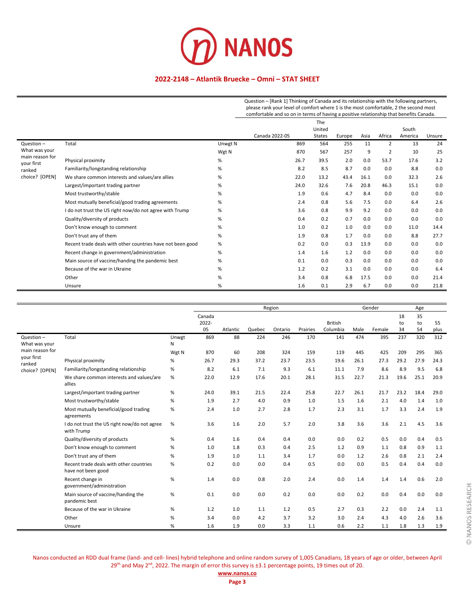

Question – [Rank 1] Thinking of Canada and its relationship with the following partners, please rank your level of comfort where 1 is the most comfortable, 2 the second most comfortable and so on in terms of having a positive relationship that benefits Canada.

|                               |                                                            |         |                | The           |        |      |        |         |        |
|-------------------------------|------------------------------------------------------------|---------|----------------|---------------|--------|------|--------|---------|--------|
|                               |                                                            |         |                | United        |        |      |        | South   |        |
|                               |                                                            |         | Canada 2022-05 | <b>States</b> | Europe | Asia | Africa | America | Unsure |
| $Question -$                  | Total                                                      | Unwgt N | 869            | 564           | 255    | 11   | 2      | 13      | 24     |
| What was your                 |                                                            | Wgt N   | 870            | 567           | 257    | 9    | 2      | 10      | 25     |
| main reason for<br>your first | Physical proximity                                         | $\%$    | 26.7           | 39.5          | 2.0    | 0.0  | 53.7   | 17.6    | 3.2    |
| ranked                        | Familiarity/longstanding relationship                      | %       | 8.2            | 8.5           | 8.7    | 0.0  | 0.0    | 8.8     | 0.0    |
| choice?<br>[OPEN]             | We share common interests and values/are allies            | %       | 22.0           | 13.2          | 43.4   | 16.1 | 0.0    | 32.3    | 2.6    |
|                               | Largest/important trading partner                          | %       | 24.0           | 32.6          | 7.6    | 20.8 | 46.3   | 15.1    | 0.0    |
|                               | Most trustworthy/stable                                    | %       | 1.9            | 0.6           | 4.7    | 8.4  | 0.0    | 0.0     | 0.0    |
|                               | Most mutually beneficial/good trading agreements           | $\%$    | 2.4            | 0.8           | 5.6    | 7.5  | 0.0    | 6.4     | 2.6    |
|                               | I do not trust the US right now/do not agree with Trump    | $\%$    | 3.6            | 0.8           | 9.9    | 9.2  | 0.0    | 0.0     | 0.0    |
|                               | Quality/diversity of products                              | %       | 0.4            | 0.2           | 0.7    | 0.0  | 0.0    | 0.0     | 0.0    |
|                               | Don't know enough to comment                               | %       | 1.0            | 0.2           | 1.0    | 0.0  | 0.0    | 11.0    | 14.4   |
|                               | Don't trust any of them                                    | %       | 1.9            | 0.8           | 1.7    | 0.0  | 0.0    | 8.8     | 27.7   |
|                               | Recent trade deals with other countries have not been good | %       | 0.2            | 0.0           | 0.3    | 13.9 | 0.0    | 0.0     | 0.0    |
|                               | Recent change in government/administration                 | %       | 1.4            | 1.6           | 1.2    | 0.0  | 0.0    | 0.0     | 0.0    |
|                               | Main source of vaccine/handing the pandemic best           | %       | 0.1            | 0.0           | 0.3    | 0.0  | 0.0    | 0.0     | 0.0    |
|                               | Because of the war in Ukraine                              | %       | 1.2            | 0.2           | 3.1    | 0.0  | 0.0    | 0.0     | 6.4    |
|                               | Other                                                      | $\%$    | 3.4            | 0.8           | 6.8    | 17.5 | 0.0    | 0.0     | 21.4   |
|                               | Unsure                                                     | %       | 1.6            | 0.1           | 2.9    | 6.7  | 0.0    | 0.0     | 21.8   |

|                               |                                                               |            |                 |          |        | Region  |          |                |      | Gender |          | Age      |      |
|-------------------------------|---------------------------------------------------------------|------------|-----------------|----------|--------|---------|----------|----------------|------|--------|----------|----------|------|
|                               |                                                               |            | Canada<br>2022- |          |        |         |          | <b>British</b> |      |        | 18<br>to | 35<br>to | 55   |
|                               |                                                               |            | 05              | Atlantic | Quebec | Ontario | Prairies | Columbia       | Male | Female | 34       | 54       | plus |
| $Question -$<br>What was your | Total                                                         | Unwgt<br>N | 869             | 88       | 224    | 246     | 170      | 141            | 474  | 395    | 237      | 320      | 312  |
| main reason for               |                                                               | Wgt N      | 870             | 60       | 208    | 324     | 159      | 119            | 445  | 425    | 209      | 295      | 365  |
| your first<br>ranked          | Physical proximity                                            | %          | 26.7            | 29.3     | 37.2   | 23.7    | 23.5     | 19.6           | 26.1 | 27.3   | 29.2     | 27.9     | 24.3 |
| choice? [OPEN]                | Familiarity/longstanding relationship                         | %          | 8.2             | 6.1      | 7.1    | 9.3     | 6.1      | 11.1           | 7.9  | 8.6    | 8.9      | 9.5      | 6.8  |
|                               | We share common interests and values/are<br>allies            | %          | 22.0            | 12.9     | 17.6   | 20.1    | 28.1     | 31.5           | 22.7 | 21.3   | 19.6     | 25.1     | 20.9 |
|                               | Largest/important trading partner                             | %          | 24.0            | 39.1     | 21.5   | 22.4    | 25.8     | 22.7           | 26.1 | 21.7   | 23.2     | 18.4     | 29.0 |
|                               | Most trustworthy/stable                                       | %          | 1.9             | 2.7      | 4.0    | 0.9     | 1.0      | 1.5            | 1.6  | 2.1    | 4.0      | 1.4      | 1.0  |
|                               | Most mutually beneficial/good trading<br>agreements           | %          | 2.4             | 1.0      | 2.7    | 2.8     | 1.7      | 2.3            | 3.1  | 1.7    | 3.3      | 2.4      | 1.9  |
|                               | I do not trust the US right now/do not agree<br>with Trump    | %          | 3.6             | 1.6      | 2.0    | 5.7     | 2.0      | 3.8            | 3.6  | 3.6    | 2.1      | 4.5      | 3.6  |
|                               | Quality/diversity of products                                 | %          | 0.4             | 1.6      | 0.4    | 0.4     | 0.0      | 0.0            | 0.2  | 0.5    | 0.0      | 0.4      | 0.5  |
|                               | Don't know enough to comment                                  | %          | 1.0             | 1.8      | 0.3    | 0.4     | 2.5      | 1.2            | 0.9  | 1.1    | 0.8      | 0.9      | 1.1  |
|                               | Don't trust any of them                                       | %          | 1.9             | 1.0      | 1.1    | 3.4     | 1.7      | 0.0            | 1.2  | 2.6    | 0.8      | 2.1      | 2.4  |
|                               | Recent trade deals with other countries<br>have not been good | %          | 0.2             | 0.0      | 0.0    | 0.4     | 0.5      | 0.0            | 0.0  | 0.5    | 0.4      | 0.4      | 0.0  |
|                               | Recent change in<br>government/administration                 | $\%$       | 1.4             | 0.0      | 0.8    | 2.0     | 2.4      | 0.0            | 1.4  | 1.4    | 1.4      | 0.6      | 2.0  |
|                               | Main source of vaccine/handing the<br>pandemic best           | %          | 0.1             | 0.0      | 0.0    | 0.2     | 0.0      | 0.0            | 0.2  | 0.0    | 0.4      | 0.0      | 0.0  |
|                               | Because of the war in Ukraine                                 | %          | 1.2             | 1.0      | 1.1    | 1.2     | 0.5      | 2.7            | 0.3  | 2.2    | 0.0      | 2.4      | 1.1  |
|                               | Other                                                         | %          | 3.4             | 0.0      | 4.2    | 3.7     | 3.2      | 3.0            | 2.4  | 4.3    | 4.0      | 2.6      | 3.6  |
|                               | Unsure                                                        | %          | 1.6             | 1.9      | 0.0    | 3.3     | 1.1      | 0.6            | 2.2  | 1.1    | 1.8      | 1.3      | 1.9  |

**Page 3**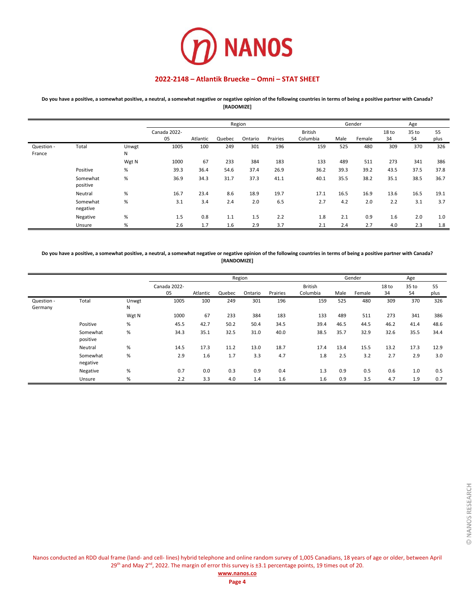

**Do you have a positive, a somewhat positive, a neutral, a somewhat negative or negative opinion of the following countries in terms of being a positive partner with Canada? [RADOMIZE]**

|                      |                      |            |                    |          |        | Region  |          |                            |      | Gender |             | Age         |            |
|----------------------|----------------------|------------|--------------------|----------|--------|---------|----------|----------------------------|------|--------|-------------|-------------|------------|
|                      |                      |            | Canada 2022-<br>05 | Atlantic | Quebec | Ontario | Prairies | <b>British</b><br>Columbia | Male | Female | 18 to<br>34 | 35 to<br>54 | 55<br>plus |
| Question -<br>France | Total                | Unwgt<br>N | 1005               | 100      | 249    | 301     | 196      | 159                        | 525  | 480    | 309         | 370         | 326        |
|                      |                      | Wgt N      | 1000               | 67       | 233    | 384     | 183      | 133                        | 489  | 511    | 273         | 341         | 386        |
|                      | Positive             | %          | 39.3               | 36.4     | 54.6   | 37.4    | 26.9     | 36.2                       | 39.3 | 39.2   | 43.5        | 37.5        | 37.8       |
|                      | Somewhat<br>positive | %          | 36.9               | 34.3     | 31.7   | 37.3    | 41.1     | 40.1                       | 35.5 | 38.2   | 35.1        | 38.5        | 36.7       |
|                      | Neutral              | %          | 16.7               | 23.4     | 8.6    | 18.9    | 19.7     | 17.1                       | 16.5 | 16.9   | 13.6        | 16.5        | 19.1       |
|                      | Somewhat<br>negative | %          | 3.1                | 3.4      | 2.4    | 2.0     | 6.5      | 2.7                        | 4.2  | 2.0    | 2.2         | 3.1         | 3.7        |
|                      | Negative             | %          | 1.5                | 0.8      | 1.1    | 1.5     | 2.2      | 1.8                        | 2.1  | 0.9    | 1.6         | 2.0         | 1.0        |
|                      | Unsure               | %          | 2.6                | 1.7      | 1.6    | 2.9     | 3.7      | 2.1                        | 2.4  | 2.7    | 4.0         | 2.3         | 1.8        |

**Do you have a positive, a somewhat positive, a neutral, a somewhat negative or negative opinion of the following countries in terms of being a positive partner with Canada? [RANDOMIZE]**

|                       |                      |            |                    |          |        | Region  |          |                            |      | Gender |             | Age         |            |
|-----------------------|----------------------|------------|--------------------|----------|--------|---------|----------|----------------------------|------|--------|-------------|-------------|------------|
|                       |                      |            | Canada 2022-<br>05 | Atlantic | Quebec | Ontario | Prairies | <b>British</b><br>Columbia | Male | Female | 18 to<br>34 | 35 to<br>54 | 55<br>plus |
| Question -<br>Germany | Total                | Unwgt<br>N | 1005               | 100      | 249    | 301     | 196      | 159                        | 525  | 480    | 309         | 370         | 326        |
|                       |                      | Wgt N      | 1000               | 67       | 233    | 384     | 183      | 133                        | 489  | 511    | 273         | 341         | 386        |
|                       | Positive             | %          | 45.5               | 42.7     | 50.2   | 50.4    | 34.5     | 39.4                       | 46.5 | 44.5   | 46.2        | 41.4        | 48.6       |
|                       | Somewhat<br>positive | %          | 34.3               | 35.1     | 32.5   | 31.0    | 40.0     | 38.5                       | 35.7 | 32.9   | 32.6        | 35.5        | 34.4       |
|                       | Neutral              | %          | 14.5               | 17.3     | 11.2   | 13.0    | 18.7     | 17.4                       | 13.4 | 15.5   | 13.2        | 17.3        | 12.9       |
|                       | Somewhat<br>negative | %          | 2.9                | 1.6      | 1.7    | 3.3     | 4.7      | 1.8                        | 2.5  | 3.2    | 2.7         | 2.9         | 3.0        |
|                       | Negative             | %          | 0.7                | 0.0      | 0.3    | 0.9     | 0.4      | 1.3                        | 0.9  | 0.5    | 0.6         | 1.0         | 0.5        |
|                       | Unsure               | %          | 2.2                | 3.3      | 4.0    | 1.4     | 1.6      | 1.6                        | 0.9  | 3.5    | 4.7         | 1.9         | 0.7        |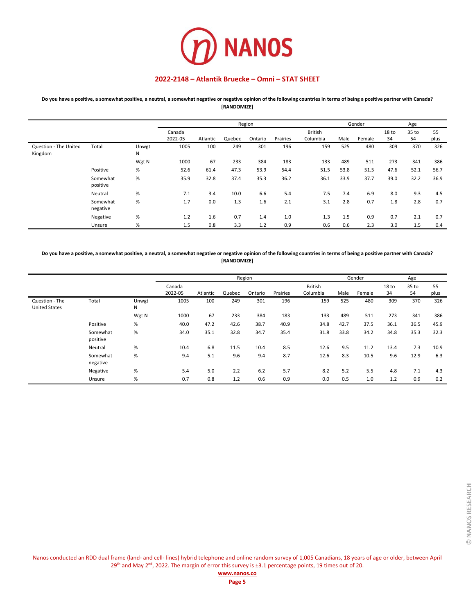

**Do you have a positive, a somewhat positive, a neutral, a somewhat negative or negative opinion of the following countries in terms of being a positive partner with Canada? [RANDOMIZE]**

|                                  |                      |            |                   |          |        | Region  |          |                            |      | Gender |                        | Age         |            |
|----------------------------------|----------------------|------------|-------------------|----------|--------|---------|----------|----------------------------|------|--------|------------------------|-------------|------------|
|                                  |                      |            | Canada<br>2022-05 | Atlantic | Quebec | Ontario | Prairies | <b>British</b><br>Columbia | Male | Female | 18 <sub>to</sub><br>34 | 35 to<br>54 | 55<br>plus |
| Question - The United<br>Kingdom | Total                | Unwgt<br>N | 1005              | 100      | 249    | 301     | 196      | 159                        | 525  | 480    | 309                    | 370         | 326        |
|                                  |                      | Wgt N      | 1000              | 67       | 233    | 384     | 183      | 133                        | 489  | 511    | 273                    | 341         | 386        |
|                                  | Positive             | %          | 52.6              | 61.4     | 47.3   | 53.9    | 54.4     | 51.5                       | 53.8 | 51.5   | 47.6                   | 52.1        | 56.7       |
|                                  | Somewhat<br>positive | %          | 35.9              | 32.8     | 37.4   | 35.3    | 36.2     | 36.1                       | 33.9 | 37.7   | 39.0                   | 32.2        | 36.9       |
|                                  | Neutral              | %          | 7.1               | 3.4      | 10.0   | 6.6     | 5.4      | 7.5                        | 7.4  | 6.9    | 8.0                    | 9.3         | 4.5        |
|                                  | Somewhat<br>negative | %          | 1.7               | 0.0      | 1.3    | 1.6     | 2.1      | 3.1                        | 2.8  | 0.7    | 1.8                    | 2.8         | 0.7        |
|                                  | Negative             | %          | 1.2               | 1.6      | 0.7    | 1.4     | 1.0      | 1.3                        | 1.5  | 0.9    | 0.7                    | 2.1         | 0.7        |
|                                  | Unsure               | %          | 1.5               | 0.8      | 3.3    | 1.2     | 0.9      | 0.6                        | 0.6  | 2.3    | 3.0                    | 1.5         | 0.4        |

**Do you have a positive, a somewhat positive, a neutral, a somewhat negative or negative opinion of the following countries in terms of being a positive partner with Canada? [RANDOMIZE]**

|                                        |                      |            |                   |          |        | Region  |          |                            |      | Gender |                        | Age                    |            |
|----------------------------------------|----------------------|------------|-------------------|----------|--------|---------|----------|----------------------------|------|--------|------------------------|------------------------|------------|
|                                        |                      |            | Canada<br>2022-05 | Atlantic | Quebec | Ontario | Prairies | <b>British</b><br>Columbia | Male | Female | 18 <sub>to</sub><br>34 | 35 <sub>to</sub><br>54 | 55<br>plus |
| Question - The<br><b>United States</b> | Total                | Unwgt<br>N | 1005              | 100      | 249    | 301     | 196      | 159                        | 525  | 480    | 309                    | 370                    | 326        |
|                                        |                      | Wgt N      | 1000              | 67       | 233    | 384     | 183      | 133                        | 489  | 511    | 273                    | 341                    | 386        |
|                                        | Positive             | %          | 40.0              | 47.2     | 42.6   | 38.7    | 40.9     | 34.8                       | 42.7 | 37.5   | 36.1                   | 36.5                   | 45.9       |
|                                        | Somewhat<br>positive | %          | 34.0              | 35.1     | 32.8   | 34.7    | 35.4     | 31.8                       | 33.8 | 34.2   | 34.8                   | 35.3                   | 32.3       |
|                                        | Neutral              | %          | 10.4              | 6.8      | 11.5   | 10.4    | 8.5      | 12.6                       | 9.5  | 11.2   | 13.4                   | 7.3                    | 10.9       |
|                                        | Somewhat<br>negative | %          | 9.4               | 5.1      | 9.6    | 9.4     | 8.7      | 12.6                       | 8.3  | 10.5   | 9.6                    | 12.9                   | 6.3        |
|                                        | Negative             | %          | 5.4               | 5.0      | 2.2    | 6.2     | 5.7      | 8.2                        | 5.2  | 5.5    | 4.8                    | 7.1                    | 4.3        |
|                                        | Unsure               | %          | 0.7               | 0.8      | 1.2    | 0.6     | 0.9      | 0.0                        | 0.5  | 1.0    | 1.2                    | 0.9                    | 0.2        |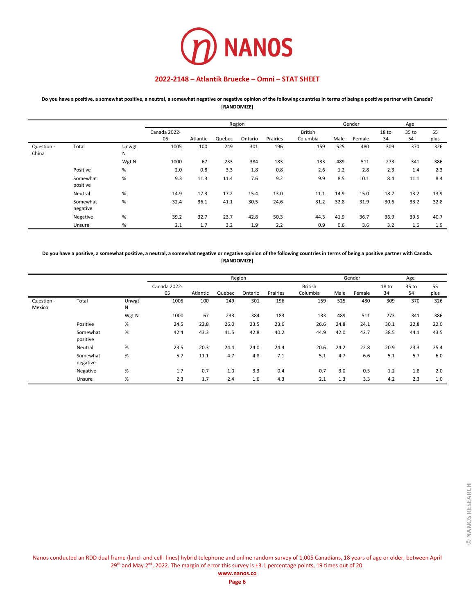

**Do you have a positive, a somewhat positive, a neutral, a somewhat negative or negative opinion of the following countries in terms of being a positive partner with Canada? [RANDOMIZE]**

|                     |                      |            |              |          |        | Region  |          |                |      | Gender |       | Age   |      |
|---------------------|----------------------|------------|--------------|----------|--------|---------|----------|----------------|------|--------|-------|-------|------|
|                     |                      |            | Canada 2022- |          |        |         |          | <b>British</b> |      |        | 18 to | 35 to | 55   |
|                     |                      |            | 05           | Atlantic | Quebec | Ontario | Prairies | Columbia       | Male | Female | 34    | 54    | plus |
| Question -<br>China | Total                | Unwgt<br>Ν | 1005         | 100      | 249    | 301     | 196      | 159            | 525  | 480    | 309   | 370   | 326  |
|                     |                      | Wgt N      | 1000         | 67       | 233    | 384     | 183      | 133            | 489  | 511    | 273   | 341   | 386  |
|                     | Positive             | %          | 2.0          | 0.8      | 3.3    | 1.8     | 0.8      | 2.6            | 1.2  | 2.8    | 2.3   | 1.4   | 2.3  |
|                     | Somewhat<br>positive | $\%$       | 9.3          | 11.3     | 11.4   | 7.6     | 9.2      | 9.9            | 8.5  | 10.1   | 8.4   | 11.1  | 8.4  |
|                     | Neutral              | $\%$       | 14.9         | 17.3     | 17.2   | 15.4    | 13.0     | 11.1           | 14.9 | 15.0   | 18.7  | 13.2  | 13.9 |
|                     | Somewhat<br>negative | $\%$       | 32.4         | 36.1     | 41.1   | 30.5    | 24.6     | 31.2           | 32.8 | 31.9   | 30.6  | 33.2  | 32.8 |
|                     | Negative             | $\%$       | 39.2         | 32.7     | 23.7   | 42.8    | 50.3     | 44.3           | 41.9 | 36.7   | 36.9  | 39.5  | 40.7 |
|                     | Unsure               | $\%$       | 2.1          | 1.7      | 3.2    | 1.9     | 2.2      | 0.9            | 0.6  | 3.6    | 3.2   | 1.6   | 1.9  |

**Do you have a positive, a somewhat positive, a neutral, a somewhat negative or negative opinion of the following countries in terms of being a positive partner with Canada. [RANDOMIZE]**

|                      |                      |            |              |          |        | Region  |          |                |      | Gender |                  | Age   |      |
|----------------------|----------------------|------------|--------------|----------|--------|---------|----------|----------------|------|--------|------------------|-------|------|
|                      |                      |            | Canada 2022- |          |        |         |          | <b>British</b> |      |        | 18 <sub>to</sub> | 35 to | 55   |
|                      |                      |            | 05           | Atlantic | Quebec | Ontario | Prairies | Columbia       | Male | Female | 34               | 54    | plus |
| Question -<br>Mexico | Total                | Unwgt<br>Ν | 1005         | 100      | 249    | 301     | 196      | 159            | 525  | 480    | 309              | 370   | 326  |
|                      |                      | Wgt N      | 1000         | 67       | 233    | 384     | 183      | 133            | 489  | 511    | 273              | 341   | 386  |
|                      | Positive             | $\%$       | 24.5         | 22.8     | 26.0   | 23.5    | 23.6     | 26.6           | 24.8 | 24.1   | 30.1             | 22.8  | 22.0 |
|                      | Somewhat<br>positive | %          | 42.4         | 43.3     | 41.5   | 42.8    | 40.2     | 44.9           | 42.0 | 42.7   | 38.5             | 44.1  | 43.5 |
|                      | Neutral              | %          | 23.5         | 20.3     | 24.4   | 24.0    | 24.4     | 20.6           | 24.2 | 22.8   | 20.9             | 23.3  | 25.4 |
|                      | Somewhat<br>negative | %          | 5.7          | 11.1     | 4.7    | 4.8     | 7.1      | 5.1            | 4.7  | 6.6    | 5.1              | 5.7   | 6.0  |
|                      | Negative             | %          | 1.7          | 0.7      | 1.0    | 3.3     | 0.4      | 0.7            | 3.0  | 0.5    | 1.2              | 1.8   | 2.0  |
|                      | Unsure               | %          | 2.3          | 1.7      | 2.4    | 1.6     | 4.3      | 2.1            | 1.3  | 3.3    | 4.2              | 2.3   | 1.0  |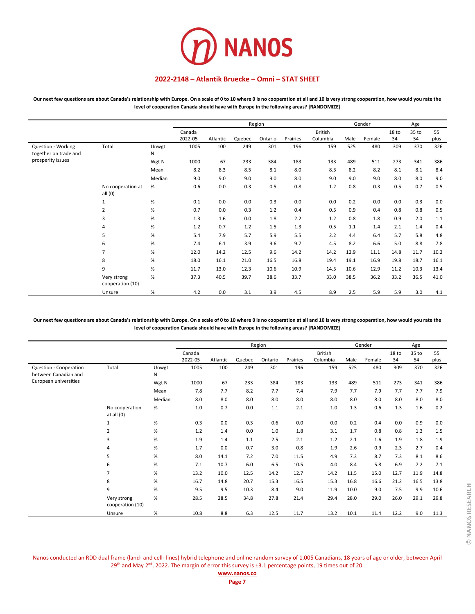

**Our next few questions are about Canada's relationship with Europe. On a scale of 0 to 10 where 0 is no cooperation at all and 10 is very strong cooperation, how would you rate the level of cooperation Canada should have with Europe in the following areas? [RANDOMIZE]**

|                                             |                                 |            |                   |          |        | Region  |          |                            |      | Gender |                        | Age         |            |
|---------------------------------------------|---------------------------------|------------|-------------------|----------|--------|---------|----------|----------------------------|------|--------|------------------------|-------------|------------|
|                                             |                                 |            | Canada<br>2022-05 | Atlantic | Quebec | Ontario | Prairies | <b>British</b><br>Columbia | Male | Female | 18 <sub>to</sub><br>34 | 35 to<br>54 | 55<br>plus |
| Question - Working<br>together on trade and | Total                           | Unwgt<br>Ν | 1005              | 100      | 249    | 301     | 196      | 159                        | 525  | 480    | 309                    | 370         | 326        |
| prosperity issues                           |                                 | Wgt N      | 1000              | 67       | 233    | 384     | 183      | 133                        | 489  | 511    | 273                    | 341         | 386        |
|                                             |                                 | Mean       | 8.2               | 8.3      | 8.5    | 8.1     | 8.0      | 8.3                        | 8.2  | 8.2    | 8.1                    | 8.1         | 8.4        |
|                                             |                                 | Median     | 9.0               | 9.0      | 9.0    | 9.0     | 8.0      | 9.0                        | 9.0  | 9.0    | 8.0                    | 8.0         | 9.0        |
|                                             | No cooperation at<br>all $(0)$  | $\%$       | 0.6               | 0.0      | 0.3    | 0.5     | 0.8      | 1.2                        | 0.8  | 0.3    | 0.5                    | 0.7         | 0.5        |
|                                             | 1                               | $\%$       | 0.1               | 0.0      | 0.0    | 0.3     | 0.0      | 0.0                        | 0.2  | 0.0    | 0.0                    | 0.3         | 0.0        |
|                                             | 2                               | $\%$       | 0.7               | 0.0      | 0.3    | 1.2     | 0.4      | 0.5                        | 0.9  | 0.4    | 0.8                    | 0.8         | 0.5        |
|                                             | 3                               | $\%$       | 1.3               | 1.6      | 0.0    | 1.8     | 2.2      | 1.2                        | 0.8  | 1.8    | 0.9                    | 2.0         | 1.1        |
|                                             | 4                               | $\%$       | 1.2               | 0.7      | 1.2    | 1.5     | 1.3      | 0.5                        | 1.1  | 1.4    | 2.1                    | 1.4         | 0.4        |
|                                             | 5                               | $\%$       | 5.4               | 7.9      | 5.7    | 5.9     | 5.5      | 2.2                        | 4.4  | 6.4    | 5.7                    | 5.8         | 4.8        |
|                                             | 6                               | %          | 7.4               | 6.1      | 3.9    | 9.6     | 9.7      | 4.5                        | 8.2  | 6.6    | 5.0                    | 8.8         | 7.8        |
|                                             | $\overline{7}$                  | $\%$       | 12.0              | 14.2     | 12.5   | 9.6     | 14.2     | 14.2                       | 12.9 | 11.1   | 14.8                   | 11.7        | 10.2       |
|                                             | 8                               | $\%$       | 18.0              | 16.1     | 21.0   | 16.5    | 16.8     | 19.4                       | 19.1 | 16.9   | 19.8                   | 18.7        | 16.1       |
|                                             | 9                               | $\%$       | 11.7              | 13.0     | 12.3   | 10.6    | 10.9     | 14.5                       | 10.6 | 12.9   | 11.2                   | 10.3        | 13.4       |
|                                             | Very strong<br>cooperation (10) | $\%$       | 37.3              | 40.5     | 39.7   | 38.6    | 33.7     | 33.0                       | 38.5 | 36.2   | 33.2                   | 36.5        | 41.0       |
|                                             | Unsure                          | $\%$       | 4.2               | 0.0      | 3.1    | 3.9     | 4.5      | 8.9                        | 2.5  | 5.9    | 5.9                    | 3.0         | 4.1        |

**Our next few questions are about Canada's relationship with Europe. On a scale of 0 to 10 where 0 is no cooperation at all and 10 is very strong cooperation, how would you rate the level of cooperation Canada should have with Europe in the following areas? [RANDOMIZE]**

|                                                |                                 |            |                   |          |        | Region  |          |                            |      | Gender |             | Age         |            |
|------------------------------------------------|---------------------------------|------------|-------------------|----------|--------|---------|----------|----------------------------|------|--------|-------------|-------------|------------|
|                                                |                                 |            | Canada<br>2022-05 | Atlantic | Quebec | Ontario | Prairies | <b>British</b><br>Columbia | Male | Female | 18 to<br>34 | 35 to<br>54 | 55<br>plus |
| Question - Cooperation<br>between Canadian and | Total                           | Unwgt<br>N | 1005              | 100      | 249    | 301     | 196      | 159                        | 525  | 480    | 309         | 370         | 326        |
| European universities                          |                                 | Wgt N      | 1000              | 67       | 233    | 384     | 183      | 133                        | 489  | 511    | 273         | 341         | 386        |
|                                                |                                 | Mean       | 7.8               | 7.7      | 8.2    | 7.7     | 7.4      | 7.9                        | 7.7  | 7.9    | 7.7         | 7.7         | 7.9        |
|                                                |                                 | Median     | 8.0               | 8.0      | 8.0    | 8.0     | 8.0      | 8.0                        | 8.0  | 8.0    | 8.0         | 8.0         | 8.0        |
|                                                | No cooperation<br>at all $(0)$  | %          | 1.0               | 0.7      | 0.0    | 1.1     | 2.1      | 1.0                        | 1.3  | 0.6    | 1.3         | 1.6         | 0.2        |
|                                                | $\mathbf{1}$                    | %          | 0.3               | 0.0      | 0.3    | 0.6     | 0.0      | 0.0                        | 0.2  | 0.4    | 0.0         | 0.9         | 0.0        |
|                                                | $\overline{2}$                  | $\%$       | 1.2               | 1.4      | 0.0    | 1.0     | 1.8      | 3.1                        | 1.7  | 0.8    | 0.8         | 1.3         | 1.5        |
|                                                | 3                               | %          | 1.9               | 1.4      | 1.1    | 2.5     | 2.1      | 1.2                        | 2.1  | 1.6    | 1.9         | 1.8         | 1.9        |
|                                                | 4                               | $\%$       | 1.7               | 0.0      | 0.7    | 3.0     | 0.8      | 1.9                        | 2.6  | 0.9    | 2.3         | 2.7         | 0.4        |
|                                                | 5                               | %          | 8.0               | 14.1     | 7.2    | 7.0     | 11.5     | 4.9                        | 7.3  | 8.7    | 7.3         | 8.1         | 8.6        |
|                                                | 6                               | $\%$       | 7.1               | 10.7     | 6.0    | 6.5     | 10.5     | 4.0                        | 8.4  | 5.8    | 6.9         | 7.2         | 7.1        |
|                                                | $\overline{7}$                  | %          | 13.2              | 10.0     | 12.5   | 14.2    | 12.7     | 14.2                       | 11.5 | 15.0   | 12.7        | 11.9        | 14.8       |
|                                                | 8                               | %          | 16.7              | 14.8     | 20.7   | 15.3    | 16.5     | 15.3                       | 16.8 | 16.6   | 21.2        | 16.5        | 13.8       |
|                                                | 9                               | %          | 9.5               | 9.5      | 10.3   | 8.4     | 9.0      | 11.9                       | 10.0 | 9.0    | 7.5         | 9.9         | 10.6       |
|                                                | Very strong<br>cooperation (10) | %          | 28.5              | 28.5     | 34.8   | 27.8    | 21.4     | 29.4                       | 28.0 | 29.0   | 26.0        | 29.1        | 29.8       |
|                                                | Unsure                          | %          | 10.8              | 8.8      | 6.3    | 12.5    | 11.7     | 13.2                       | 10.1 | 11.4   | 12.2        | 9.0         | 11.3       |

Nanos conducted an RDD dual frame (land- and cell- lines) hybrid telephone and online random survey of 1,005 Canadians, 18 years of age or older, between April 29<sup>th</sup> and May 2<sup>nd</sup>, 2022. The margin of error this survey is ±3.1 percentage points, 19 times out of 20.

### **[www.nanos.co](http://www.nanosresearch.com/)**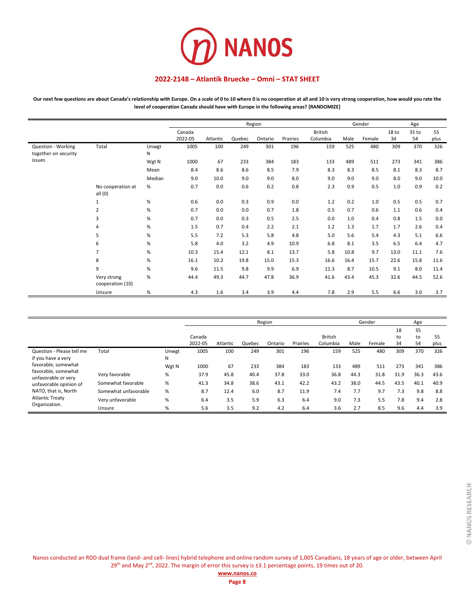

Our next few questions are about Canada's relationship with Europe. On a scale of 0 to 10 where 0 is no cooperation at all and 10 is very strong cooperation, how would you rate the **level of cooperation Canada should have with Europe in the following areas? [RANDOMIZE]**

|                                            |                                 |            |                   |          |        | Region  |          |                            |      | Gender |             | Age         |            |
|--------------------------------------------|---------------------------------|------------|-------------------|----------|--------|---------|----------|----------------------------|------|--------|-------------|-------------|------------|
|                                            |                                 |            | Canada<br>2022-05 | Atlantic | Quebec | Ontario | Prairies | <b>British</b><br>Columbia | Male | Female | 18 to<br>34 | 35 to<br>54 | 55<br>plus |
| Question - Working<br>together on security | Total                           | Unwgt<br>N | 1005              | 100      | 249    | 301     | 196      | 159                        | 525  | 480    | 309         | 370         | 326        |
| issues                                     |                                 | Wgt N      | 1000              | 67       | 233    | 384     | 183      | 133                        | 489  | 511    | 273         | 341         | 386        |
|                                            |                                 | Mean       | 8.4               | 8.6      | 8.6    | 8.5     | 7.9      | 8.3                        | 8.3  | 8.5    | 8.1         | 8.3         | 8.7        |
|                                            |                                 | Median     | 9.0               | 10.0     | 9.0    | 9.0     | 8.0      | 9.0                        | 9.0  | 9.0    | 8.0         | 9.0         | 10.0       |
|                                            | No cooperation at<br>all $(0)$  | %          | 0.7               | 0.0      | 0.6    | 0.2     | 0.8      | 2.3                        | 0.9  | 0.5    | 1.0         | 0.9         | 0.2        |
|                                            | $\mathbf{1}$                    | %          | 0.6               | 0.0      | 0.3    | 0.9     | 0.0      | 1.2                        | 0.2  | 1.0    | 0.5         | 0.5         | 0.7        |
|                                            | $\overline{2}$                  | %          | 0.7               | 0.0      | 0.0    | 0.7     | 1.8      | 0.5                        | 0.7  | 0.6    | 1.1         | 0.6         | 0.4        |
|                                            | 3                               | %          | 0.7               | 0.0      | 0.3    | 0.5     | 2.5      | 0.0                        | 1.0  | 0.4    | 0.8         | 1.5         | 0.0        |
|                                            | 4                               | %          | 1.5               | 0.7      | 0.4    | 2.2     | 2.1      | 1.2                        | 1.3  | 1.7    | 1.7         | 2.6         | 0.4        |
|                                            | 5                               | %          | 5.5               | 7.2      | 5.3    | 5.8     | 4.8      | 5.0                        | 5.6  | 5.4    | 4.3         | 5.1         | 6.6        |
|                                            | 6                               | %          | 5.8               | 4.0      | 3.2    | 4.9     | 10.9     | 6.8                        | 8.1  | 3.5    | 6.5         | 6.4         | 4.7        |
|                                            | $\overline{7}$                  | %          | 10.3              | 15.4     | 12.1   | 8.1     | 13.7     | 5.8                        | 10.8 | 9.7    | 13.0        | 11.1        | 7.6        |
|                                            | 8                               | %          | 16.1              | 10.2     | 19.8   | 15.0    | 15.3     | 16.6                       | 16.4 | 15.7   | 22.6        | 15.8        | 11.6       |
|                                            | 9                               | %          | 9.6               | 11.5     | 9.8    | 9.9     | 6.9      | 11.3                       | 8.7  | 10.5   | 9.1         | 8.0         | 11.4       |
|                                            | Very strong<br>cooperation (10) | %          | 44.4              | 49.3     | 44.7   | 47.8    | 36.9     | 41.6                       | 43.4 | 45.3   | 32.6        | 44.5        | 52.6       |
|                                            | Unsure                          | $\%$       | 4.3               | 1.6      | 3.4    | 3.9     | 4.4      | 7.8                        | 2.9  | 5.5    | 6.6         | 3.0         | 3.7        |

|                                                 |                      |            |         |          |        | Region  |          |                |      | Gender |          | Age      |      |
|-------------------------------------------------|----------------------|------------|---------|----------|--------|---------|----------|----------------|------|--------|----------|----------|------|
|                                                 |                      |            | Canada  |          |        |         |          | <b>British</b> |      |        | 18<br>to | 35<br>to | 55   |
|                                                 |                      |            | 2022-05 | Atlantic | Quebec | Ontario | Prairies | Columbia       | Male | Female | 34       | 54       | plus |
| Question - Please tell me<br>if you have a very | Total                | Unwgt<br>N | 1005    | 100      | 249    | 301     | 196      | 159            | 525  | 480    | 309      | 370      | 326  |
| favorable, somewhat                             |                      | Wgt N      | 1000    | 67       | 233    | 384     | 183      | 133            | 489  | 511    | 273      | 341      | 386  |
| favorable, somewhat<br>unfavorable or very      | Very favorable       | %          | 37.9    | 45.8     | 40.4   | 37.8    | 33.0     | 36.8           | 44.3 | 31.8   | 31.9     | 36.3     | 43.6 |
| unfavorable opinion of                          | Somewhat favorable   | %          | 41.3    | 34.8     | 38.6   | 43.1    | 42.2     | 43.2           | 38.0 | 44.5   | 43.5     | 40.1     | 40.9 |
| NATO, that is, North                            | Somewhat unfavorable | %          | 8.7     | 12.4     | 6.0    | 8.7     | 11.9     | 7.4            | 7.7  | 9.7    | 7.3      | 9.8      | 8.8  |
| <b>Atlantic Treaty</b>                          | Very unfavorable     | %          | 6.4     | 3.5      | 5.9    | 6.3     | 6.4      | 9.0            | 7.3  | 5.5    | 7.8      | 9.4      | 2.8  |
| Organization.                                   | Unsure               | $\%$       | 5.6     | 3.5      | 9.2    | 4.2     | 6.4      | 3.6            | 2.7  | 8.5    | 9.6      | 4.4      | 3.9  |

Nanos conducted an RDD dual frame (land- and cell- lines) hybrid telephone and online random survey of 1,005 Canadians, 18 years of age or older, between April 29<sup>th</sup> and May 2<sup>nd</sup>, 2022. The margin of error this survey is ±3.1 percentage points, 19 times out of 20.

**Page 8**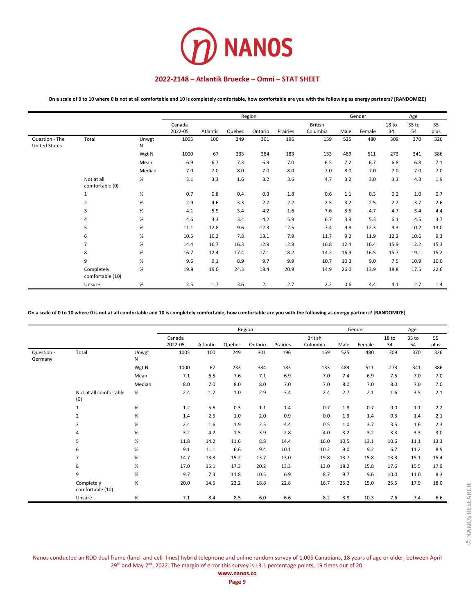

**On a scale of 0 to 10 where 0 is not at all comfortable and 10 is completely comfortable, how comfortable are you with the following as energy partners? [RANDOMIZE]**

|                                        |                                |            |                   |          |        | Region  |          |                     |      | Gender |             | Age         |            |
|----------------------------------------|--------------------------------|------------|-------------------|----------|--------|---------|----------|---------------------|------|--------|-------------|-------------|------------|
|                                        |                                |            | Canada<br>2022-05 | Atlantic | Quebec | Ontario | Prairies | British<br>Columbia | Male | Female | 18 to<br>34 | 35 to<br>54 | 55<br>plus |
| Question - The<br><b>United States</b> | Total                          | Unwgt<br>N | 1005              | 100      | 249    | 301     | 196      | 159                 | 525  | 480    | 309         | 370         | 326        |
|                                        |                                | Wgt N      | 1000              | 67       | 233    | 384     | 183      | 133                 | 489  | 511    | 273         | 341         | 386        |
|                                        |                                | Mean       | 6.9               | 6.7      | 7.3    | 6.9     | 7.0      | 6.5                 | 7.2  | 6.7    | 6.8         | 6.8         | 7.1        |
|                                        |                                | Median     | 7.0               | 7.0      | 8.0    | 7.0     | 8.0      | 7.0                 | 8.0  | 7.0    | 7.0         | 7.0         | 7.0        |
|                                        | Not at all<br>comfortable (0)  | $\%$       | 3.1               | 3.3      | 1.6    | 3.2     | 3.6      | 4.7                 | 3.2  | 3.0    | 3.3         | 4.3         | 1.9        |
|                                        | $\mathbf{1}$                   | $\%$       | 0.7               | 0.8      | 0.4    | 0.3     | 1.8      | 0.6                 | 1.1  | 0.3    | 0.2         | 1.0         | 0.7        |
|                                        | $\overline{2}$                 | $\%$       | 2.9               | 4.6      | 3.3    | 2.7     | 2.2      | 2.5                 | 3.2  | 2.5    | 2.2         | 3.7         | 2.6        |
|                                        | 3                              | $\%$       | 4.1               | 5.9      | 3.4    | 4.2     | 1.6      | 7.6                 | 3.5  | 4.7    | 4.7         | 3.4         | 4.4        |
|                                        | 4                              | $\%$       | 4.6               | 3.3      | 3.4    | 4.2     | 5.9      | 6.7                 | 3.9  | 5.3    | 6.1         | 4.5         | 3.7        |
|                                        | 5                              | $\%$       | 11.1              | 12.8     | 9.6    | 12.3    | 12.5     | 7.4                 | 9.8  | 12.3   | 9.3         | 10.2        | 13.0       |
|                                        | 6                              | $\%$       | 10.5              | 10.2     | 7.8    | 13.1    | 7.9      | 11.7                | 9.2  | 11.9   | 12.2        | 10.6        | 9.3        |
|                                        | $\overline{7}$                 | $\%$       | 14.4              | 16.7     | 16.3   | 12.9    | 12.8     | 16.8                | 12.4 | 16.4   | 15.9        | 12.2        | 15.3       |
|                                        | 8                              | $\%$       | 16.7              | 12.4     | 17.4   | 17.1    | 18.2     | 14.2                | 16.9 | 16.5   | 15.7        | 19.1        | 15.2       |
|                                        | 9                              | $\%$       | 9.6               | 9.1      | 8.9    | 9.7     | 9.9      | 10.7                | 10.3 | 9.0    | 7.5         | 10.9        | 10.0       |
|                                        | Completely<br>comfortable (10) | $\%$       | 19.8              | 19.0     | 24.3   | 18.4    | 20.9     | 14.9                | 26.0 | 13.9   | 18.8        | 17.5        | 22.6       |
|                                        | Unsure                         | $\%$       | 2.5               | 1.7      | 3.6    | 2.1     | 2.7      | 2.2                 | 0.6  | 4.4    | 4.1         | 2.7         | 1.4        |

**On a scale of 0 to 10 where 0 is not at all comfortable and 10 is completely comfortable, how comfortable are you with the following as energy partners? [RANDOMIZE]**

|                       |                                |            |                   |          |        | Region  |          |                            |      | Gender |             | Age         |            |
|-----------------------|--------------------------------|------------|-------------------|----------|--------|---------|----------|----------------------------|------|--------|-------------|-------------|------------|
|                       |                                |            | Canada<br>2022-05 | Atlantic | Quebec | Ontario | Prairies | <b>British</b><br>Columbia | Male | Female | 18 to<br>34 | 35 to<br>54 | 55<br>plus |
| Question -<br>Germany | Total                          | Unwgt<br>N | 1005              | 100      | 249    | 301     | 196      | 159                        | 525  | 480    | 309         | 370         | 326        |
|                       |                                | Wgt N      | 1000              | 67       | 233    | 384     | 183      | 133                        | 489  | 511    | 273         | 341         | 386        |
|                       |                                | Mean       | 7.1               | 6.5      | 7.6    | 7.1     | 6.9      | 7.0                        | 7.4  | 6.9    | 7.5         | 7.0         | 7.0        |
|                       |                                | Median     | 8.0               | 7.0      | 8.0    | 8.0     | 7.0      | 7.0                        | 8.0  | 7.0    | 8.0         | 7.0         | 7.0        |
|                       | Not at all comfortable<br>(0)  | %          | 2.4               | 1.7      | 1.0    | 2.9     | 3.4      | 2.4                        | 2.7  | 2.1    | 1.6         | 3.5         | 2.1        |
|                       | 1                              | $\%$       | 1.2               | 5.6      | 0.3    | 1.1     | 1.4      | 0.7                        | 1.8  | 0.7    | 0.0         | 1.1         | 2.2        |
|                       | 2                              | %          | 1.4               | 2.5      | 1.0    | 2.0     | 0.9      | 0.0                        | 1.3  | 1.4    | 0.3         | 1.4         | 2.1        |
|                       | 3                              | $\%$       | 2.4               | 1.6      | 1.9    | 2.5     | 4.4      | 0.5                        | 1.0  | 3.7    | 3.5         | 1.6         | 2.3        |
|                       | 4                              | %          | 3.2               | 4.2      | 1.5    | 3.9     | 2.8      | 4.0                        | 3.2  | 3.2    | 3.3         | 3.3         | 3.0        |
|                       | 5                              | $\%$       | 11.8              | 14.2     | 11.6   | 8.8     | 14.4     | 16.0                       | 10.5 | 13.1   | 10.6        | 11.1        | 13.3       |
|                       | 6                              | %          | 9.1               | 11.1     | 6.6    | 9.4     | 10.1     | 10.2                       | 9.0  | 9.2    | 6.7         | 11.2        | 8.9        |
|                       | $\overline{7}$                 | $\%$       | 14.7              | 13.8     | 15.2   | 13.7    | 13.0     | 19.8                       | 13.7 | 15.8   | 13.3        | 15.1        | 15.4       |
|                       | 8                              | $\%$       | 17.0              | 15.1     | 17.3   | 20.2    | 13.3     | 13.0                       | 18.2 | 15.8   | 17.6        | 15.5        | 17.9       |
|                       | 9                              | %          | 9.7               | 7.3      | 11.8   | 10.5    | 6.9      | 8.7                        | 9.7  | 9.6    | 10.0        | 11.0        | 8.3        |
|                       | Completely<br>comfortable (10) | %          | 20.0              | 14.5     | 23.2   | 18.8    | 22.8     | 16.7                       | 25.2 | 15.0   | 25.5        | 17.9        | 18.0       |
|                       | Unsure                         | $\%$       | 7.1               | 8.4      | 8.5    | 6.0     | 6.6      | 8.2                        | 3.8  | 10.3   | 7.6         | 7.4         | 6.6        |

© NANOS RESEARCH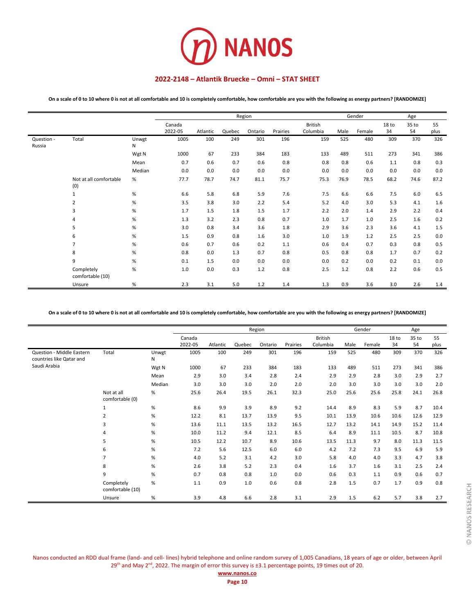

**On a scale of 0 to 10 where 0 is not at all comfortable and 10 is completely comfortable, how comfortable are you with the following as energy partners? [RANDOMIZE]**

|                      |                                |            |                   |          |        | Gender  | Age      |                            |      |        |             |             |            |
|----------------------|--------------------------------|------------|-------------------|----------|--------|---------|----------|----------------------------|------|--------|-------------|-------------|------------|
|                      |                                |            | Canada<br>2022-05 | Atlantic | Quebec | Ontario | Prairies | <b>British</b><br>Columbia | Male | Female | 18 to<br>34 | 35 to<br>54 | 55<br>plus |
| Question -<br>Russia | Total                          | Unwgt<br>N | 1005              | 100      | 249    | 301     | 196      | 159                        | 525  | 480    | 309         | 370         | 326        |
|                      |                                | Wgt N      | 1000              | 67       | 233    | 384     | 183      | 133                        | 489  | 511    | 273         | 341         | 386        |
|                      |                                | Mean       | 0.7               | 0.6      | 0.7    | 0.6     | 0.8      | 0.8                        | 0.8  | 0.6    | 1.1         | 0.8         | 0.3        |
|                      |                                | Median     | 0.0               | 0.0      | 0.0    | 0.0     | 0.0      | 0.0                        | 0.0  | 0.0    | 0.0         | 0.0         | 0.0        |
|                      | Not at all comfortable<br>(0)  | %          | 77.7              | 78.7     | 74.7   | 81.1    | 75.7     | 75.3                       | 76.9 | 78.5   | 68.2        | 74.6        | 87.2       |
|                      | $\mathbf 1$                    | %          | 6.6               | 5.8      | 6.8    | 5.9     | 7.6      | 7.5                        | 6.6  | 6.6    | 7.5         | 6.0         | 6.5        |
|                      | $\overline{2}$                 | %          | 3.5               | 3.8      | 3.0    | 2.2     | 5.4      | 5.2                        | 4.0  | 3.0    | 5.3         | 4.1         | 1.6        |
|                      | 3                              | %          | 1.7               | 1.5      | 1.8    | 1.5     | 1.7      | 2.2                        | 2.0  | 1.4    | 2.9         | 2.2         | 0.4        |
|                      | 4                              | %          | 1.3               | 3.2      | 2.3    | 0.8     | 0.7      | 1.0                        | 1.7  | 1.0    | 2.5         | 1.6         | 0.2        |
|                      | 5                              | %          | 3.0               | 0.8      | 3.4    | 3.6     | 1.8      | 2.9                        | 3.6  | 2.3    | 3.6         | 4.1         | 1.5        |
|                      | 6                              | %          | 1.5               | 0.9      | 0.8    | 1.6     | 3.0      | 1.0                        | 1.9  | 1.2    | 2.5         | 2.5         | 0.0        |
|                      | $\overline{7}$                 | %          | 0.6               | 0.7      | 0.6    | 0.2     | 1.1      | 0.6                        | 0.4  | 0.7    | 0.3         | 0.8         | 0.5        |
|                      | 8                              | %          | 0.8               | 0.0      | 1.3    | 0.7     | 0.8      | 0.5                        | 0.8  | 0.8    | 1.7         | 0.7         | 0.2        |
|                      | 9                              | %          | 0.1               | 1.5      | 0.0    | 0.0     | 0.0      | 0.0                        | 0.2  | 0.0    | 0.2         | 0.1         | 0.0        |
|                      | Completely<br>comfortable (10) | %          | 1.0               | 0.0      | 0.3    | 1.2     | 0.8      | 2.5                        | 1.2  | 0.8    | 2.2         | 0.6         | 0.5        |
|                      | Unsure                         | %          | 2.3               | 3.1      | 5.0    | 1.2     | 1.4      | 1.3                        | 0.9  | 3.6    | 3.0         | 2.6         | 1.4        |

**On a scale of 0 to 10 where 0 is not at all comfortable and 10 is completely comfortable, how comfortable are you with the following as energy partners? [RANDOMIZE]**

|                                                       |                                |            |         |          |        | Region  |          |                |      | Gender |                  | Age   |      |
|-------------------------------------------------------|--------------------------------|------------|---------|----------|--------|---------|----------|----------------|------|--------|------------------|-------|------|
|                                                       |                                |            | Canada  |          |        |         |          | <b>British</b> |      |        | 18 <sub>to</sub> | 35 to | 55   |
|                                                       |                                |            | 2022-05 | Atlantic | Quebec | Ontario | Prairies | Columbia       | Male | Female | 34               | 54    | plus |
| Question - Middle Eastern<br>countries like Qatar and | Total                          | Unwgt<br>N | 1005    | 100      | 249    | 301     | 196      | 159            | 525  | 480    | 309              | 370   | 326  |
| Saudi Arabia                                          |                                | Wgt N      | 1000    | 67       | 233    | 384     | 183      | 133            | 489  | 511    | 273              | 341   | 386  |
|                                                       |                                | Mean       | 2.9     | 3.0      | 3.4    | 2.8     | 2.4      | 2.9            | 2.9  | 2.8    | 3.0              | 2.9   | 2.7  |
|                                                       |                                | Median     | 3.0     | 3.0      | 3.0    | 2.0     | 2.0      | 2.0            | 3.0  | 3.0    | 3.0              | 3.0   | 2.0  |
|                                                       | Not at all<br>comfortable (0)  | $\%$       | 25.6    | 26.4     | 19.5   | 26.1    | 32.3     | 25.0           | 25.6 | 25.6   | 25.8             | 24.1  | 26.8 |
|                                                       | 1                              | %          | 8.6     | 9.9      | 3.9    | 8.9     | 9.2      | 14.4           | 8.9  | 8.3    | 5.9              | 8.7   | 10.4 |
|                                                       | 2                              | %          | 12.2    | 8.1      | 13.7   | 13.9    | 9.5      | 10.1           | 13.9 | 10.6   | 10.6             | 12.6  | 12.9 |
|                                                       | 3                              | %          | 13.6    | 11.1     | 13.5   | 13.2    | 16.5     | 12.7           | 13.2 | 14.1   | 14.9             | 15.2  | 11.4 |
|                                                       | 4                              | $\%$       | 10.0    | 11.2     | 9.4    | 12.1    | 8.5      | 6.4            | 8.9  | 11.1   | 10.5             | 8.7   | 10.8 |
|                                                       | 5                              | %          | 10.5    | 12.2     | 10.7   | 8.9     | 10.6     | 13.5           | 11.3 | 9.7    | 8.0              | 11.3  | 11.5 |
|                                                       | 6                              | $\%$       | 7.2     | 5.6      | 12.5   | 6.0     | 6.0      | 4.2            | 7.2  | 7.3    | 9.5              | 6.9   | 5.9  |
|                                                       | $\overline{7}$                 | %          | 4.0     | 5.2      | 3.1    | 4.2     | 3.0      | 5.8            | 4.0  | 4.0    | 3.3              | 4.7   | 3.8  |
|                                                       | 8                              | %          | 2.6     | 3.8      | 5.2    | 2.3     | 0.4      | 1.6            | 3.7  | 1.6    | 3.1              | 2.5   | 2.4  |
|                                                       | 9                              | $\%$       | 0.7     | 0.8      | 0.8    | 1.0     | 0.0      | 0.6            | 0.3  | 1.1    | 0.9              | 0.6   | 0.7  |
|                                                       | Completely<br>comfortable (10) | $\%$       | 1.1     | 0.9      | 1.0    | 0.6     | 0.8      | 2.8            | 1.5  | 0.7    | 1.7              | 0.9   | 0.8  |
|                                                       | Unsure                         | %          | 3.9     | 4.8      | 6.6    | 2.8     | 3.1      | 2.9            | 1.5  | 6.2    | 5.7              | 3.8   | 2.7  |